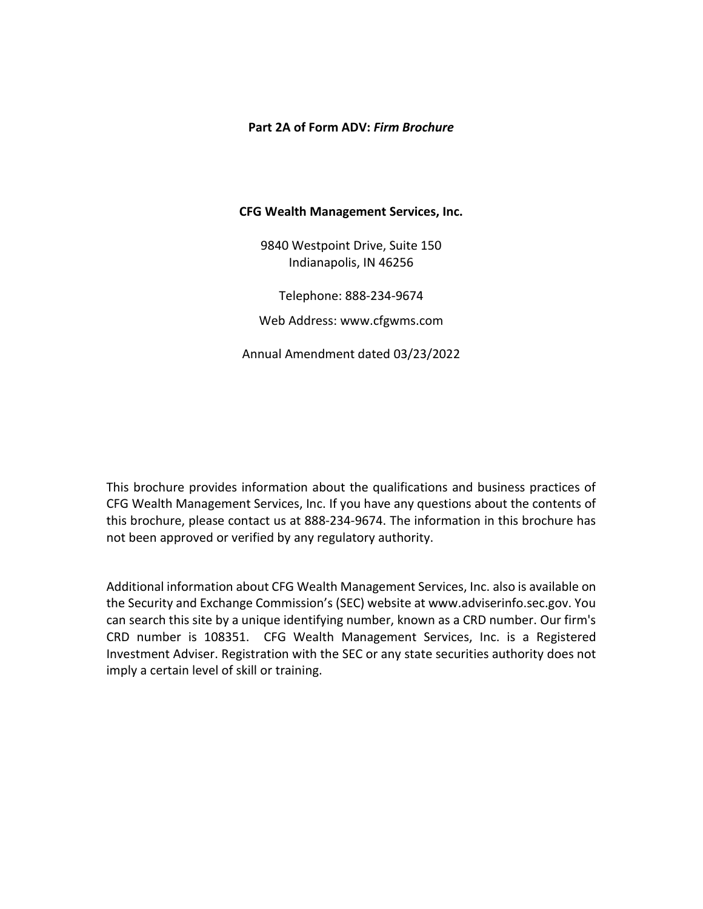# <span id="page-0-0"></span>**Part 2A of Form ADV:** *Firm Brochure*

# **CFG Wealth Management Services, Inc.**

9840 Westpoint Drive, Suite 150 Indianapolis, IN 46256

Telephone: 888-234-9674 Web Address: www.cfgwms.com

Annual Amendment dated 03/23/2022

This brochure provides information about the qualifications and business practices of CFG Wealth Management Services, Inc. If you have any questions about the contents of this brochure, please contact us at 888-234-9674. The information in this brochure has not been approved or verified by any regulatory authority.

Additional information about CFG Wealth Management Services, Inc. also is available on the Security and Exchange Commission's (SEC) website at www.adviserinfo.sec.gov. You can search this site by a unique identifying number, known as a CRD number. Our firm's CRD number is 108351. CFG Wealth Management Services, Inc. is a Registered Investment Adviser. Registration with the SEC or any state securities authority does not imply a certain level of skill or training.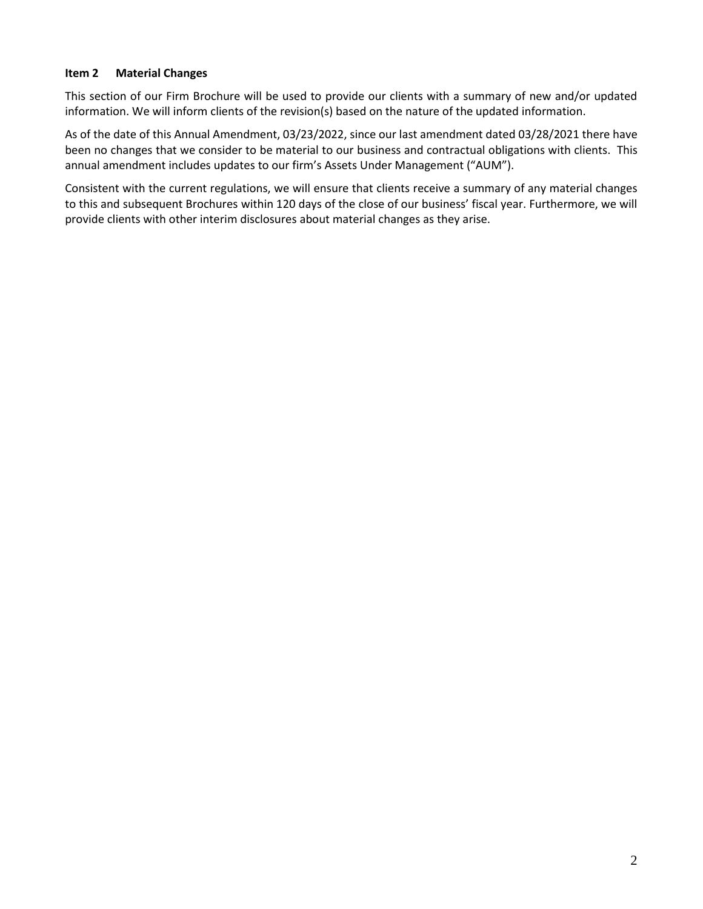# <span id="page-1-0"></span>**Item 2 Material Changes**

This section of our Firm Brochure will be used to provide our clients with a summary of new and/or updated information. We will inform clients of the revision(s) based on the nature of the updated information.

As of the date of this Annual Amendment, 03/23/2022, since our last amendment dated 03/28/2021 there have been no changes that we consider to be material to our business and contractual obligations with clients. This annual amendment includes updates to our firm's Assets Under Management ("AUM").

Consistent with the current regulations, we will ensure that clients receive a summary of any material changes to this and subsequent Brochures within 120 days of the close of our business' fiscal year. Furthermore, we will provide clients with other interim disclosures about material changes as they arise.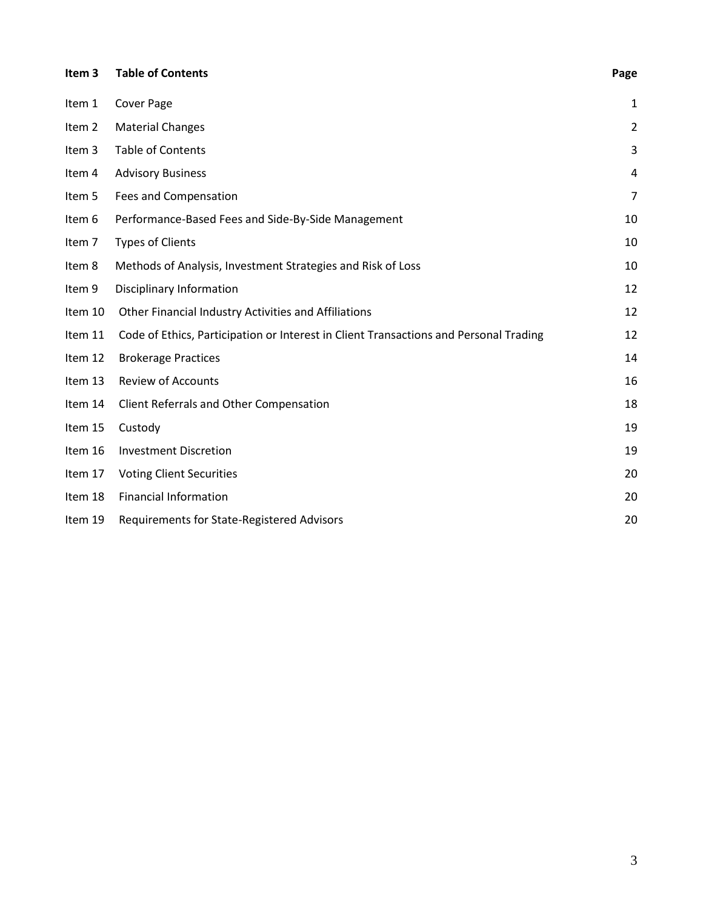<span id="page-2-0"></span>

| Item <sub>3</sub> | <b>Table of Contents</b>                                                              | Page           |
|-------------------|---------------------------------------------------------------------------------------|----------------|
| Item 1            | <b>Cover Page</b>                                                                     | $\mathbf{1}$   |
| Item 2            | <b>Material Changes</b>                                                               | $\overline{2}$ |
| Item 3            | <b>Table of Contents</b>                                                              | 3              |
| Item 4            | <b>Advisory Business</b>                                                              | 4              |
| Item 5            | Fees and Compensation                                                                 | $\overline{7}$ |
| Item 6            | Performance-Based Fees and Side-By-Side Management                                    | 10             |
| Item 7            | <b>Types of Clients</b>                                                               | 10             |
| Item 8            | Methods of Analysis, Investment Strategies and Risk of Loss                           | 10             |
| Item 9            | Disciplinary Information                                                              | 12             |
| Item 10           | Other Financial Industry Activities and Affiliations                                  | 12             |
| Item 11           | Code of Ethics, Participation or Interest in Client Transactions and Personal Trading | 12             |
| Item 12           | <b>Brokerage Practices</b>                                                            | 14             |
| Item 13           | <b>Review of Accounts</b>                                                             | 16             |
| Item 14           | Client Referrals and Other Compensation                                               | 18             |
| Item 15           | Custody                                                                               | 19             |
| Item 16           | <b>Investment Discretion</b>                                                          | 19             |
| Item 17           | <b>Voting Client Securities</b>                                                       | 20             |
| Item 18           | <b>Financial Information</b>                                                          | 20             |
| Item 19           | Requirements for State-Registered Advisors                                            | 20             |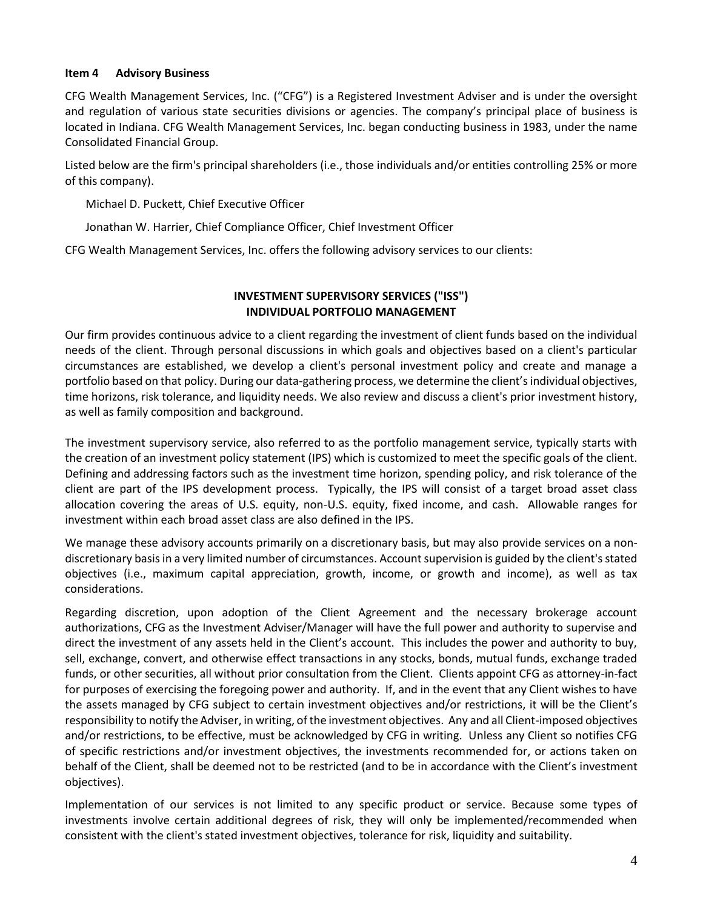# <span id="page-3-0"></span>**Item 4 Advisory Business**

CFG Wealth Management Services, Inc. ("CFG") is a Registered Investment Adviser and is under the oversight and regulation of various state securities divisions or agencies. The company's principal place of business is located in Indiana. CFG Wealth Management Services, Inc. began conducting business in 1983, under the name Consolidated Financial Group.

Listed below are the firm's principal shareholders (i.e., those individuals and/or entities controlling 25% or more of this company).

Michael D. Puckett, Chief Executive Officer

Jonathan W. Harrier, Chief Compliance Officer, Chief Investment Officer

CFG Wealth Management Services, Inc. offers the following advisory services to our clients:

# **INVESTMENT SUPERVISORY SERVICES ("ISS") INDIVIDUAL PORTFOLIO MANAGEMENT**

Our firm provides continuous advice to a client regarding the investment of client funds based on the individual needs of the client. Through personal discussions in which goals and objectives based on a client's particular circumstances are established, we develop a client's personal investment policy and create and manage a portfolio based on that policy. During our data-gathering process, we determine the client's individual objectives, time horizons, risk tolerance, and liquidity needs. We also review and discuss a client's prior investment history, as well as family composition and background.

The investment supervisory service, also referred to as the portfolio management service, typically starts with the creation of an investment policy statement (IPS) which is customized to meet the specific goals of the client. Defining and addressing factors such as the investment time horizon, spending policy, and risk tolerance of the client are part of the IPS development process. Typically, the IPS will consist of a target broad asset class allocation covering the areas of U.S. equity, non-U.S. equity, fixed income, and cash. Allowable ranges for investment within each broad asset class are also defined in the IPS.

We manage these advisory accounts primarily on a discretionary basis, but may also provide services on a nondiscretionary basis in a very limited number of circumstances. Account supervision is guided by the client's stated objectives (i.e., maximum capital appreciation, growth, income, or growth and income), as well as tax considerations.

Regarding discretion, upon adoption of the Client Agreement and the necessary brokerage account authorizations, CFG as the Investment Adviser/Manager will have the full power and authority to supervise and direct the investment of any assets held in the Client's account. This includes the power and authority to buy, sell, exchange, convert, and otherwise effect transactions in any stocks, bonds, mutual funds, exchange traded funds, or other securities, all without prior consultation from the Client. Clients appoint CFG as attorney-in-fact for purposes of exercising the foregoing power and authority. If, and in the event that any Client wishes to have the assets managed by CFG subject to certain investment objectives and/or restrictions, it will be the Client's responsibility to notify the Adviser, in writing, of the investment objectives. Any and all Client-imposed objectives and/or restrictions, to be effective, must be acknowledged by CFG in writing. Unless any Client so notifies CFG of specific restrictions and/or investment objectives, the investments recommended for, or actions taken on behalf of the Client, shall be deemed not to be restricted (and to be in accordance with the Client's investment objectives).

Implementation of our services is not limited to any specific product or service. Because some types of investments involve certain additional degrees of risk, they will only be implemented/recommended when consistent with the client's stated investment objectives, tolerance for risk, liquidity and suitability.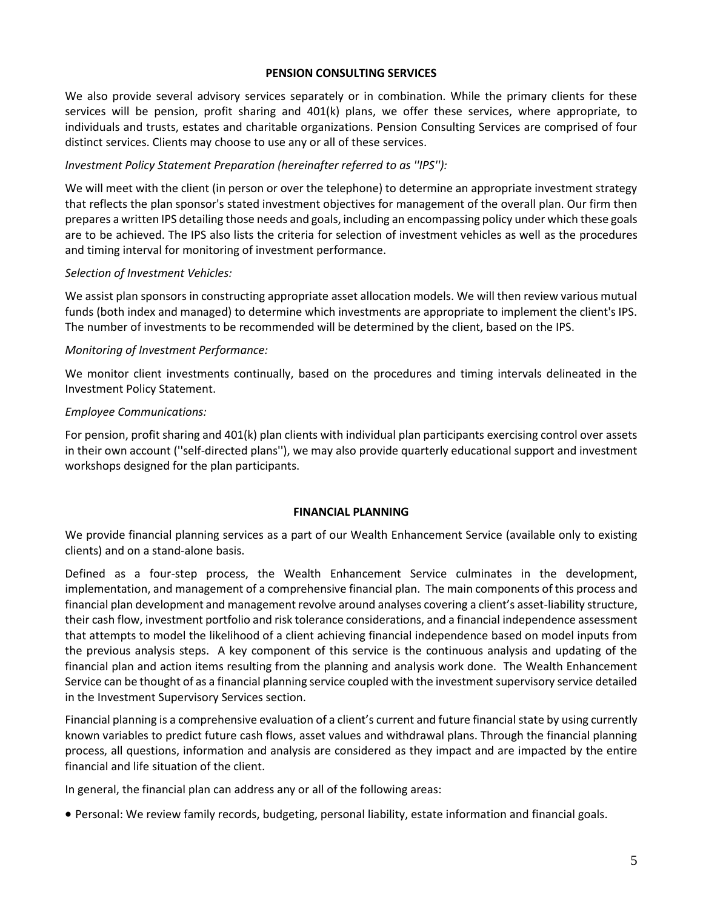#### **PENSION CONSULTING SERVICES**

We also provide several advisory services separately or in combination. While the primary clients for these services will be pension, profit sharing and 401(k) plans, we offer these services, where appropriate, to individuals and trusts, estates and charitable organizations. Pension Consulting Services are comprised of four distinct services. Clients may choose to use any or all of these services.

#### *Investment Policy Statement Preparation (hereinafter referred to as ''IPS''):*

We will meet with the client (in person or over the telephone) to determine an appropriate investment strategy that reflects the plan sponsor's stated investment objectives for management of the overall plan. Our firm then prepares a written IPS detailing those needs and goals, including an encompassing policy under which these goals are to be achieved. The IPS also lists the criteria for selection of investment vehicles as well as the procedures and timing interval for monitoring of investment performance.

#### *Selection of Investment Vehicles:*

We assist plan sponsors in constructing appropriate asset allocation models. We will then review various mutual funds (both index and managed) to determine which investments are appropriate to implement the client's IPS. The number of investments to be recommended will be determined by the client, based on the IPS.

#### *Monitoring of Investment Performance:*

We monitor client investments continually, based on the procedures and timing intervals delineated in the Investment Policy Statement.

#### *Employee Communications:*

For pension, profit sharing and 401(k) plan clients with individual plan participants exercising control over assets in their own account (''self-directed plans''), we may also provide quarterly educational support and investment workshops designed for the plan participants.

#### **FINANCIAL PLANNING**

We provide financial planning services as a part of our Wealth Enhancement Service (available only to existing clients) and on a stand-alone basis.

Defined as a four-step process, the Wealth Enhancement Service culminates in the development, implementation, and management of a comprehensive financial plan. The main components of this process and financial plan development and management revolve around analyses covering a client's asset-liability structure, their cash flow, investment portfolio and risk tolerance considerations, and a financial independence assessment that attempts to model the likelihood of a client achieving financial independence based on model inputs from the previous analysis steps. A key component of this service is the continuous analysis and updating of the financial plan and action items resulting from the planning and analysis work done. The Wealth Enhancement Service can be thought of as a financial planning service coupled with the investment supervisory service detailed in the Investment Supervisory Services section.

Financial planning is a comprehensive evaluation of a client's current and future financial state by using currently known variables to predict future cash flows, asset values and withdrawal plans. Through the financial planning process, all questions, information and analysis are considered as they impact and are impacted by the entire financial and life situation of the client.

In general, the financial plan can address any or all of the following areas:

• Personal: We review family records, budgeting, personal liability, estate information and financial goals.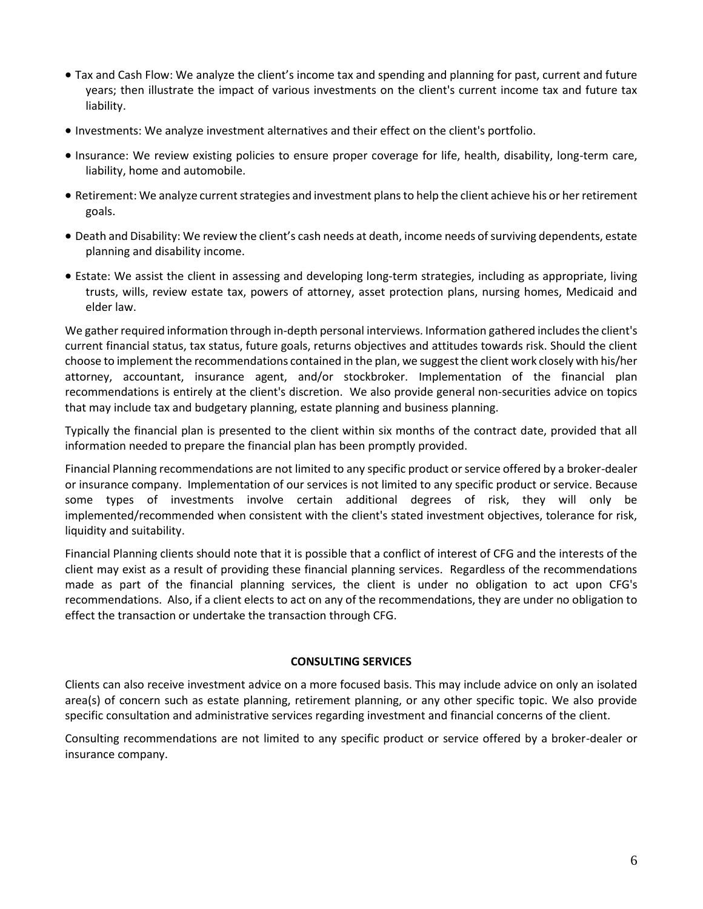- Tax and Cash Flow: We analyze the client's income tax and spending and planning for past, current and future years; then illustrate the impact of various investments on the client's current income tax and future tax liability.
- Investments: We analyze investment alternatives and their effect on the client's portfolio.
- Insurance: We review existing policies to ensure proper coverage for life, health, disability, long-term care, liability, home and automobile.
- Retirement: We analyze current strategies and investment plans to help the client achieve his or her retirement goals.
- Death and Disability: We review the client's cash needs at death, income needs of surviving dependents, estate planning and disability income.
- Estate: We assist the client in assessing and developing long-term strategies, including as appropriate, living trusts, wills, review estate tax, powers of attorney, asset protection plans, nursing homes, Medicaid and elder law.

We gather required information through in-depth personal interviews. Information gathered includes the client's current financial status, tax status, future goals, returns objectives and attitudes towards risk. Should the client choose to implement the recommendations contained in the plan, we suggest the client work closely with his/her attorney, accountant, insurance agent, and/or stockbroker. Implementation of the financial plan recommendations is entirely at the client's discretion. We also provide general non-securities advice on topics that may include tax and budgetary planning, estate planning and business planning.

Typically the financial plan is presented to the client within six months of the contract date, provided that all information needed to prepare the financial plan has been promptly provided.

Financial Planning recommendations are not limited to any specific product or service offered by a broker-dealer or insurance company. Implementation of our services is not limited to any specific product or service. Because some types of investments involve certain additional degrees of risk, they will only be implemented/recommended when consistent with the client's stated investment objectives, tolerance for risk, liquidity and suitability.

Financial Planning clients should note that it is possible that a conflict of interest of CFG and the interests of the client may exist as a result of providing these financial planning services. Regardless of the recommendations made as part of the financial planning services, the client is under no obligation to act upon CFG's recommendations. Also, if a client elects to act on any of the recommendations, they are under no obligation to effect the transaction or undertake the transaction through CFG.

# **CONSULTING SERVICES**

Clients can also receive investment advice on a more focused basis. This may include advice on only an isolated area(s) of concern such as estate planning, retirement planning, or any other specific topic. We also provide specific consultation and administrative services regarding investment and financial concerns of the client.

Consulting recommendations are not limited to any specific product or service offered by a broker-dealer or insurance company.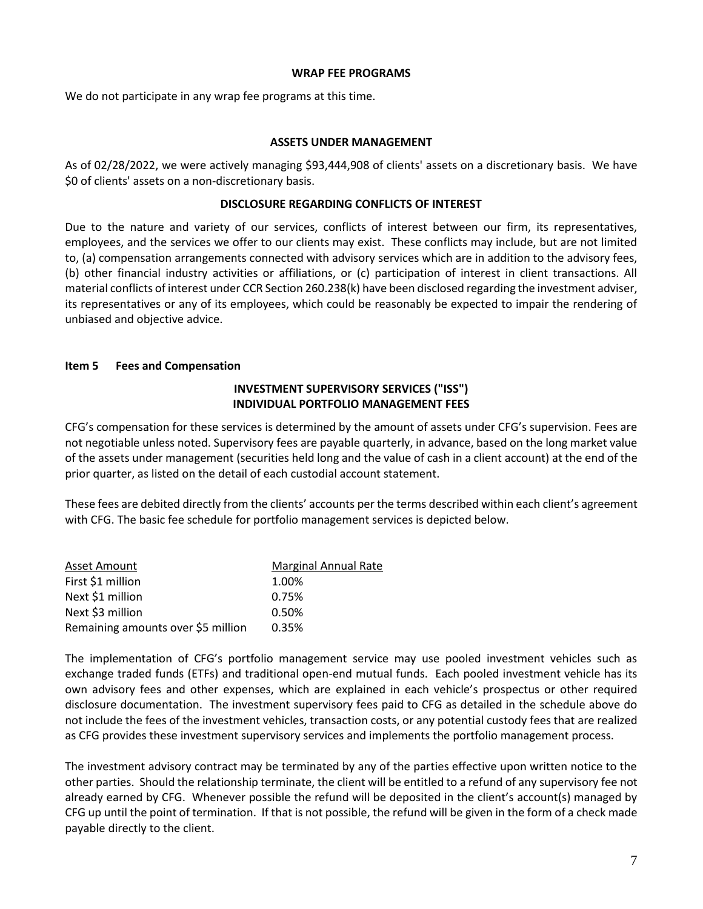#### **WRAP FEE PROGRAMS**

We do not participate in any wrap fee programs at this time.

#### **ASSETS UNDER MANAGEMENT**

As of 02/28/2022, we were actively managing \$93,444,908 of clients' assets on a discretionary basis. We have \$0 of clients' assets on a non-discretionary basis.

#### **DISCLOSURE REGARDING CONFLICTS OF INTEREST**

Due to the nature and variety of our services, conflicts of interest between our firm, its representatives, employees, and the services we offer to our clients may exist. These conflicts may include, but are not limited to, (a) compensation arrangements connected with advisory services which are in addition to the advisory fees, (b) other financial industry activities or affiliations, or (c) participation of interest in client transactions. All material conflicts of interest under CCR Section 260.238(k) have been disclosed regarding the investment adviser, its representatives or any of its employees, which could be reasonably be expected to impair the rendering of unbiased and objective advice.

# <span id="page-6-0"></span>**Item 5 Fees and Compensation**

# **INVESTMENT SUPERVISORY SERVICES ("ISS") INDIVIDUAL PORTFOLIO MANAGEMENT FEES**

CFG's compensation for these services is determined by the amount of assets under CFG's supervision. Fees are not negotiable unless noted. Supervisory fees are payable quarterly, in advance, based on the long market value of the assets under management (securities held long and the value of cash in a client account) at the end of the prior quarter, as listed on the detail of each custodial account statement.

These fees are debited directly from the clients' accounts per the terms described within each client's agreement with CFG. The basic fee schedule for portfolio management services is depicted below.

| Asset Amount                       | <b>Marginal Annual Rate</b> |
|------------------------------------|-----------------------------|
| First \$1 million                  | 1.00%                       |
| Next \$1 million                   | 0.75%                       |
| Next \$3 million                   | 0.50%                       |
| Remaining amounts over \$5 million | 0.35%                       |

The implementation of CFG's portfolio management service may use pooled investment vehicles such as exchange traded funds (ETFs) and traditional open-end mutual funds. Each pooled investment vehicle has its own advisory fees and other expenses, which are explained in each vehicle's prospectus or other required disclosure documentation. The investment supervisory fees paid to CFG as detailed in the schedule above do not include the fees of the investment vehicles, transaction costs, or any potential custody fees that are realized as CFG provides these investment supervisory services and implements the portfolio management process.

The investment advisory contract may be terminated by any of the parties effective upon written notice to the other parties. Should the relationship terminate, the client will be entitled to a refund of any supervisory fee not already earned by CFG. Whenever possible the refund will be deposited in the client's account(s) managed by CFG up until the point of termination. If that is not possible, the refund will be given in the form of a check made payable directly to the client.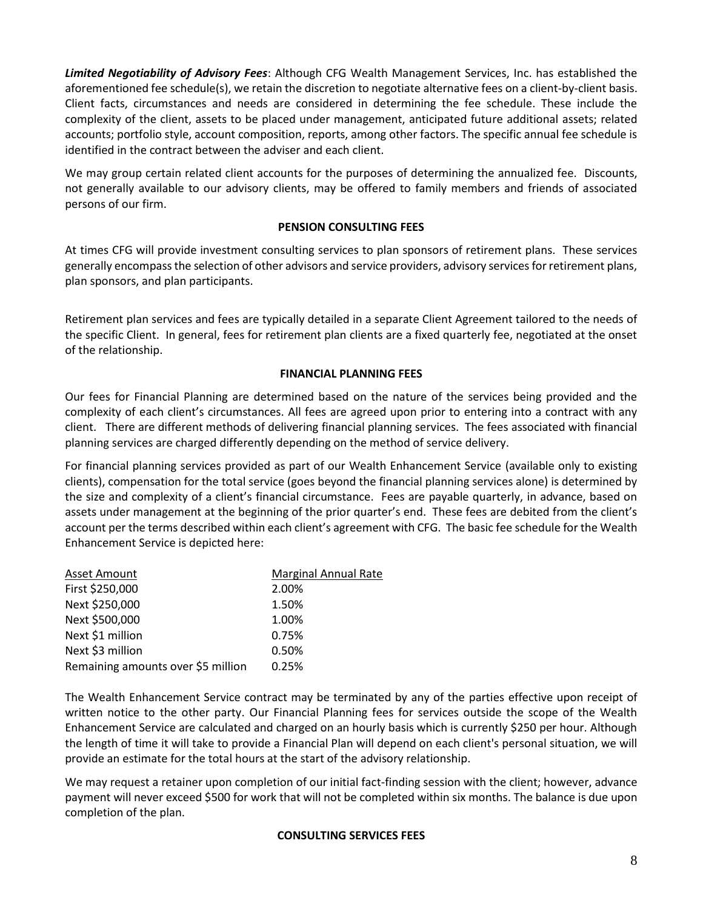*Limited Negotiability of Advisory Fees*: Although CFG Wealth Management Services, Inc. has established the aforementioned fee schedule(s), we retain the discretion to negotiate alternative fees on a client-by-client basis. Client facts, circumstances and needs are considered in determining the fee schedule. These include the complexity of the client, assets to be placed under management, anticipated future additional assets; related accounts; portfolio style, account composition, reports, among other factors. The specific annual fee schedule is identified in the contract between the adviser and each client.

We may group certain related client accounts for the purposes of determining the annualized fee. Discounts, not generally available to our advisory clients, may be offered to family members and friends of associated persons of our firm.

# **PENSION CONSULTING FEES**

At times CFG will provide investment consulting services to plan sponsors of retirement plans. These services generally encompass the selection of other advisors and service providers, advisory services for retirement plans, plan sponsors, and plan participants.

Retirement plan services and fees are typically detailed in a separate Client Agreement tailored to the needs of the specific Client. In general, fees for retirement plan clients are a fixed quarterly fee, negotiated at the onset of the relationship.

# **FINANCIAL PLANNING FEES**

Our fees for Financial Planning are determined based on the nature of the services being provided and the complexity of each client's circumstances. All fees are agreed upon prior to entering into a contract with any client. There are different methods of delivering financial planning services. The fees associated with financial planning services are charged differently depending on the method of service delivery.

For financial planning services provided as part of our Wealth Enhancement Service (available only to existing clients), compensation for the total service (goes beyond the financial planning services alone) is determined by the size and complexity of a client's financial circumstance. Fees are payable quarterly, in advance, based on assets under management at the beginning of the prior quarter's end. These fees are debited from the client's account per the terms described within each client's agreement with CFG. The basic fee schedule for the Wealth Enhancement Service is depicted here:

| Asset Amount                       | <b>Marginal Annual Rate</b> |
|------------------------------------|-----------------------------|
| First \$250,000                    | 2.00%                       |
| Next \$250,000                     | 1.50%                       |
| Next \$500,000                     | 1.00%                       |
| Next \$1 million                   | 0.75%                       |
| Next \$3 million                   | 0.50%                       |
| Remaining amounts over \$5 million | 0.25%                       |

The Wealth Enhancement Service contract may be terminated by any of the parties effective upon receipt of written notice to the other party. Our Financial Planning fees for services outside the scope of the Wealth Enhancement Service are calculated and charged on an hourly basis which is currently \$250 per hour. Although the length of time it will take to provide a Financial Plan will depend on each client's personal situation, we will provide an estimate for the total hours at the start of the advisory relationship.

We may request a retainer upon completion of our initial fact-finding session with the client; however, advance payment will never exceed \$500 for work that will not be completed within six months. The balance is due upon completion of the plan.

# **CONSULTING SERVICES FEES**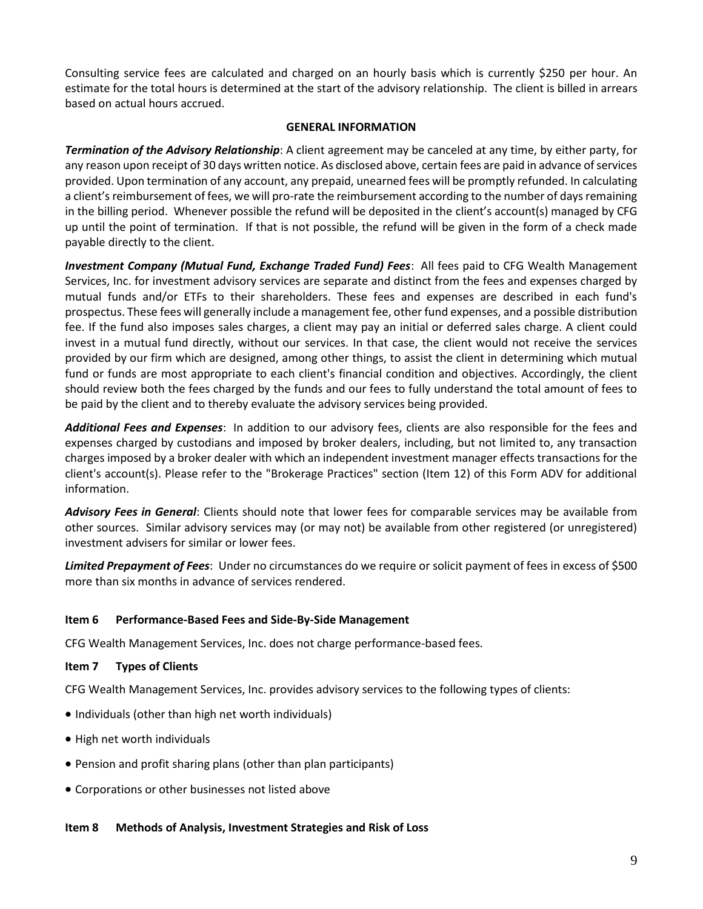Consulting service fees are calculated and charged on an hourly basis which is currently \$250 per hour. An estimate for the total hours is determined at the start of the advisory relationship. The client is billed in arrears based on actual hours accrued.

#### **GENERAL INFORMATION**

*Termination of the Advisory Relationship*: A client agreement may be canceled at any time, by either party, for any reason upon receipt of 30 days written notice. As disclosed above, certain fees are paid in advance of services provided. Upon termination of any account, any prepaid, unearned fees will be promptly refunded. In calculating a client's reimbursement of fees, we will pro-rate the reimbursement according to the number of days remaining in the billing period. Whenever possible the refund will be deposited in the client's account(s) managed by CFG up until the point of termination. If that is not possible, the refund will be given in the form of a check made payable directly to the client.

*Investment Company (Mutual Fund, Exchange Traded Fund) Fees*: All fees paid to CFG Wealth Management Services, Inc. for investment advisory services are separate and distinct from the fees and expenses charged by mutual funds and/or ETFs to their shareholders. These fees and expenses are described in each fund's prospectus. These fees will generally include a management fee, other fund expenses, and a possible distribution fee. If the fund also imposes sales charges, a client may pay an initial or deferred sales charge. A client could invest in a mutual fund directly, without our services. In that case, the client would not receive the services provided by our firm which are designed, among other things, to assist the client in determining which mutual fund or funds are most appropriate to each client's financial condition and objectives. Accordingly, the client should review both the fees charged by the funds and our fees to fully understand the total amount of fees to be paid by the client and to thereby evaluate the advisory services being provided.

*Additional Fees and Expenses*: In addition to our advisory fees, clients are also responsible for the fees and expenses charged by custodians and imposed by broker dealers, including, but not limited to, any transaction charges imposed by a broker dealer with which an independent investment manager effects transactions for the client's account(s). Please refer to the "Brokerage Practices" section (Item 12) of this Form ADV for additional information.

*Advisory Fees in General*: Clients should note that lower fees for comparable services may be available from other sources. Similar advisory services may (or may not) be available from other registered (or unregistered) investment advisers for similar or lower fees.

*Limited Prepayment of Fees*: Under no circumstances do we require or solicit payment of fees in excess of \$500 more than six months in advance of services rendered.

# <span id="page-8-0"></span>**Item 6 Performance-Based Fees and Side-By-Side Management**

CFG Wealth Management Services, Inc. does not charge performance-based fees.

# <span id="page-8-1"></span>**Item 7 Types of Clients**

CFG Wealth Management Services, Inc. provides advisory services to the following types of clients:

- Individuals (other than high net worth individuals)
- High net worth individuals
- Pension and profit sharing plans (other than plan participants)
- Corporations or other businesses not listed above

# <span id="page-8-2"></span>**Item 8 Methods of Analysis, Investment Strategies and Risk of Loss**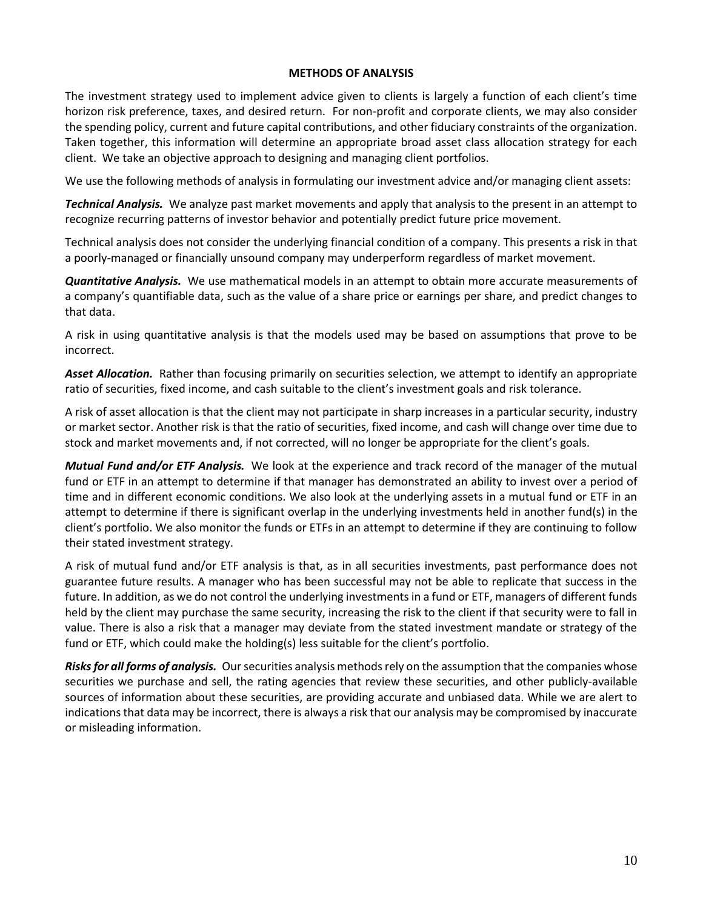#### **METHODS OF ANALYSIS**

The investment strategy used to implement advice given to clients is largely a function of each client's time horizon risk preference, taxes, and desired return. For non-profit and corporate clients, we may also consider the spending policy, current and future capital contributions, and other fiduciary constraints of the organization. Taken together, this information will determine an appropriate broad asset class allocation strategy for each client. We take an objective approach to designing and managing client portfolios.

We use the following methods of analysis in formulating our investment advice and/or managing client assets:

*Technical Analysis.* We analyze past market movements and apply that analysis to the present in an attempt to recognize recurring patterns of investor behavior and potentially predict future price movement.

Technical analysis does not consider the underlying financial condition of a company. This presents a risk in that a poorly-managed or financially unsound company may underperform regardless of market movement.

*Quantitative Analysis.* We use mathematical models in an attempt to obtain more accurate measurements of a company's quantifiable data, such as the value of a share price or earnings per share, and predict changes to that data.

A risk in using quantitative analysis is that the models used may be based on assumptions that prove to be incorrect.

*Asset Allocation.* Rather than focusing primarily on securities selection, we attempt to identify an appropriate ratio of securities, fixed income, and cash suitable to the client's investment goals and risk tolerance.

A risk of asset allocation is that the client may not participate in sharp increases in a particular security, industry or market sector. Another risk is that the ratio of securities, fixed income, and cash will change over time due to stock and market movements and, if not corrected, will no longer be appropriate for the client's goals.

*Mutual Fund and/or ETF Analysis.* We look at the experience and track record of the manager of the mutual fund or ETF in an attempt to determine if that manager has demonstrated an ability to invest over a period of time and in different economic conditions. We also look at the underlying assets in a mutual fund or ETF in an attempt to determine if there is significant overlap in the underlying investments held in another fund(s) in the client's portfolio. We also monitor the funds or ETFs in an attempt to determine if they are continuing to follow their stated investment strategy.

A risk of mutual fund and/or ETF analysis is that, as in all securities investments, past performance does not guarantee future results. A manager who has been successful may not be able to replicate that success in the future. In addition, as we do not control the underlying investments in a fund or ETF, managers of different funds held by the client may purchase the same security, increasing the risk to the client if that security were to fall in value. There is also a risk that a manager may deviate from the stated investment mandate or strategy of the fund or ETF, which could make the holding(s) less suitable for the client's portfolio.

*Risks for all forms of analysis.* Our securities analysis methods rely on the assumption that the companies whose securities we purchase and sell, the rating agencies that review these securities, and other publicly-available sources of information about these securities, are providing accurate and unbiased data. While we are alert to indications that data may be incorrect, there is always a risk that our analysis may be compromised by inaccurate or misleading information.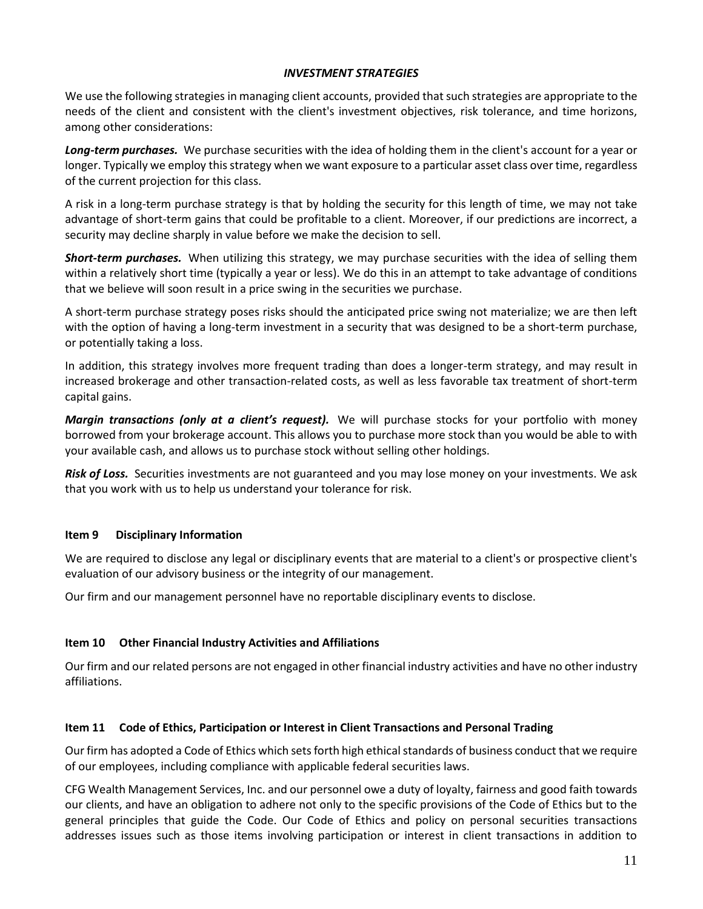# *INVESTMENT STRATEGIES*

We use the following strategies in managing client accounts, provided that such strategies are appropriate to the needs of the client and consistent with the client's investment objectives, risk tolerance, and time horizons, among other considerations:

*Long-term purchases.* We purchase securities with the idea of holding them in the client's account for a year or longer. Typically we employ this strategy when we want exposure to a particular asset class over time, regardless of the current projection for this class.

A risk in a long-term purchase strategy is that by holding the security for this length of time, we may not take advantage of short-term gains that could be profitable to a client. Moreover, if our predictions are incorrect, a security may decline sharply in value before we make the decision to sell.

*Short-term purchases.* When utilizing this strategy, we may purchase securities with the idea of selling them within a relatively short time (typically a year or less). We do this in an attempt to take advantage of conditions that we believe will soon result in a price swing in the securities we purchase.

A short-term purchase strategy poses risks should the anticipated price swing not materialize; we are then left with the option of having a long-term investment in a security that was designed to be a short-term purchase, or potentially taking a loss.

In addition, this strategy involves more frequent trading than does a longer-term strategy, and may result in increased brokerage and other transaction-related costs, as well as less favorable tax treatment of short-term capital gains.

*Margin transactions (only at a client's request).* We will purchase stocks for your portfolio with money borrowed from your brokerage account. This allows you to purchase more stock than you would be able to with your available cash, and allows us to purchase stock without selling other holdings.

*Risk of Loss.* Securities investments are not guaranteed and you may lose money on your investments. We ask that you work with us to help us understand your tolerance for risk.

# <span id="page-10-0"></span>**Item 9 Disciplinary Information**

We are required to disclose any legal or disciplinary events that are material to a client's or prospective client's evaluation of our advisory business or the integrity of our management.

Our firm and our management personnel have no reportable disciplinary events to disclose.

# <span id="page-10-1"></span>**Item 10 Other Financial Industry Activities and Affiliations**

Our firm and our related persons are not engaged in other financial industry activities and have no other industry affiliations.

#### <span id="page-10-2"></span>**Item 11 Code of Ethics, Participation or Interest in Client Transactions and Personal Trading**

Our firm has adopted a Code of Ethics which sets forth high ethical standards of business conduct that we require of our employees, including compliance with applicable federal securities laws.

CFG Wealth Management Services, Inc. and our personnel owe a duty of loyalty, fairness and good faith towards our clients, and have an obligation to adhere not only to the specific provisions of the Code of Ethics but to the general principles that guide the Code. Our Code of Ethics and policy on personal securities transactions addresses issues such as those items involving participation or interest in client transactions in addition to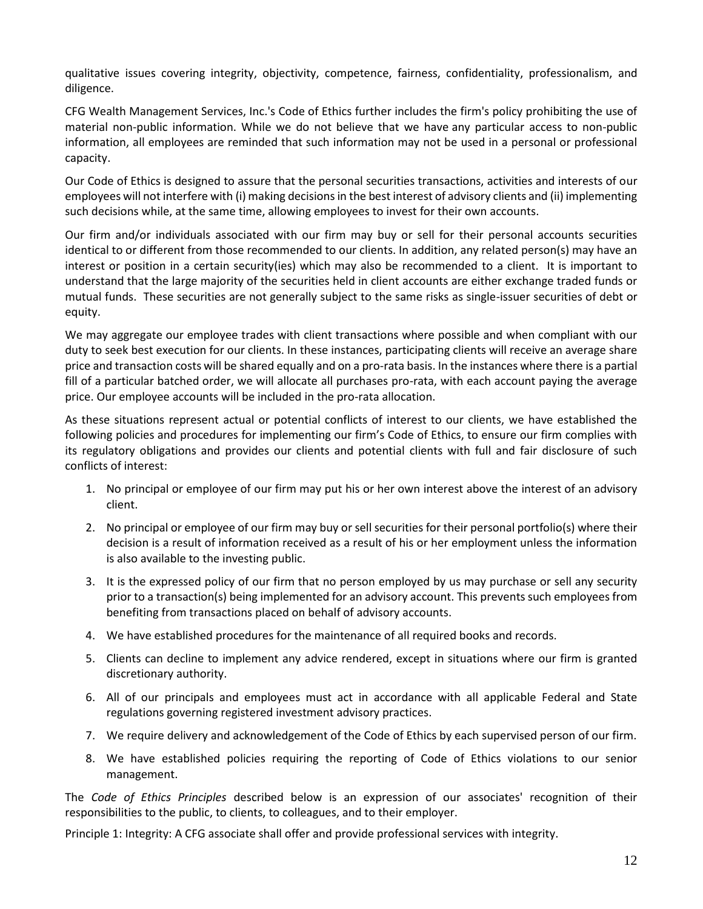qualitative issues covering integrity, objectivity, competence, fairness, confidentiality, professionalism, and diligence.

CFG Wealth Management Services, Inc.'s Code of Ethics further includes the firm's policy prohibiting the use of material non-public information. While we do not believe that we have any particular access to non-public information, all employees are reminded that such information may not be used in a personal or professional capacity.

Our Code of Ethics is designed to assure that the personal securities transactions, activities and interests of our employees will not interfere with (i) making decisions in the best interest of advisory clients and (ii) implementing such decisions while, at the same time, allowing employees to invest for their own accounts.

Our firm and/or individuals associated with our firm may buy or sell for their personal accounts securities identical to or different from those recommended to our clients. In addition, any related person(s) may have an interest or position in a certain security(ies) which may also be recommended to a client. It is important to understand that the large majority of the securities held in client accounts are either exchange traded funds or mutual funds. These securities are not generally subject to the same risks as single-issuer securities of debt or equity.

We may aggregate our employee trades with client transactions where possible and when compliant with our duty to seek best execution for our clients. In these instances, participating clients will receive an average share price and transaction costs will be shared equally and on a pro-rata basis. In the instances where there is a partial fill of a particular batched order, we will allocate all purchases pro-rata, with each account paying the average price. Our employee accounts will be included in the pro-rata allocation.

As these situations represent actual or potential conflicts of interest to our clients, we have established the following policies and procedures for implementing our firm's Code of Ethics, to ensure our firm complies with its regulatory obligations and provides our clients and potential clients with full and fair disclosure of such conflicts of interest:

- 1. No principal or employee of our firm may put his or her own interest above the interest of an advisory client.
- 2. No principal or employee of our firm may buy or sell securities for their personal portfolio(s) where their decision is a result of information received as a result of his or her employment unless the information is also available to the investing public.
- 3. It is the expressed policy of our firm that no person employed by us may purchase or sell any security prior to a transaction(s) being implemented for an advisory account. This prevents such employees from benefiting from transactions placed on behalf of advisory accounts.
- 4. We have established procedures for the maintenance of all required books and records.
- 5. Clients can decline to implement any advice rendered, except in situations where our firm is granted discretionary authority.
- 6. All of our principals and employees must act in accordance with all applicable Federal and State regulations governing registered investment advisory practices.
- 7. We require delivery and acknowledgement of the Code of Ethics by each supervised person of our firm.
- 8. We have established policies requiring the reporting of Code of Ethics violations to our senior management.

The *Code of Ethics Principles* described below is an expression of our associates' recognition of their responsibilities to the public, to clients, to colleagues, and to their employer.

Principle 1: Integrity: A CFG associate shall offer and provide professional services with integrity.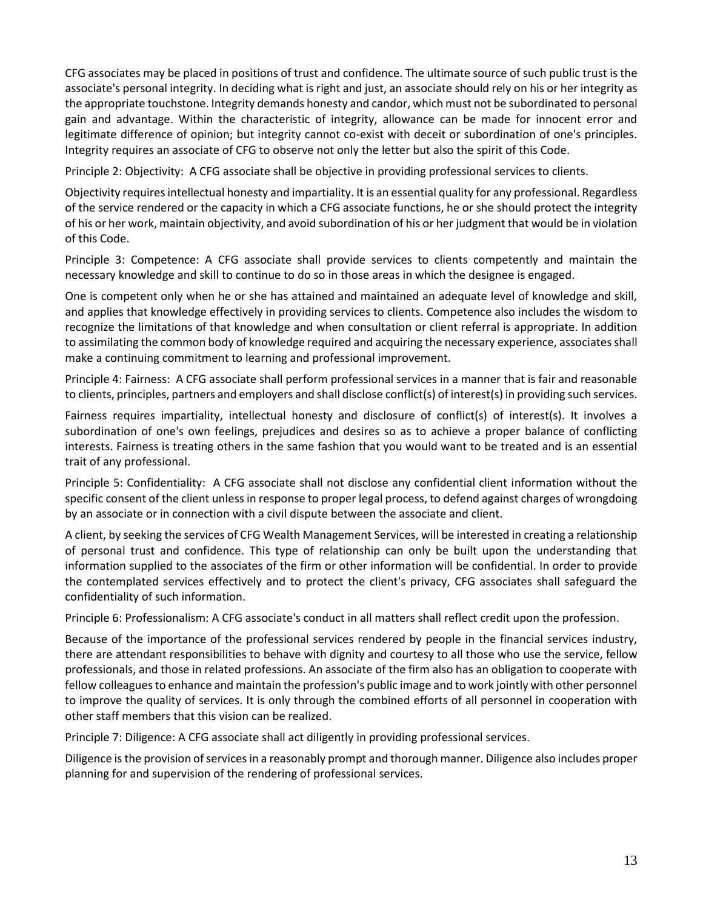CFG associates may be placed in positions of trust and confidence. The ultimate source of such public trust is the associate's personal integrity. In deciding what is right and just, an associate should rely on his or her integrity as the appropriate touchstone. Integrity demands honesty and candor, which must not be subordinated to personal gain and advantage. Within the characteristic of integrity, allowance can be made for innocent error and legitimate difference of opinion; but integrity cannot co-exist with deceit or subordination of one's principles. Integrity requires an associate of CFG to observe not only the letter but also the spirit of this Code.

Principle 2: Objectivity: A CFG associate shall be objective in providing professional services to clients.

Objectivity requires intellectual honesty and impartiality. It is an essential quality for any professional. Regardless of the service rendered or the capacity in which a CFG associate functions, he or she should protect the integrity of his or her work, maintain objectivity, and avoid subordination of his or her judgment that would be in violation of this Code.

Principle 3: Competence: A CFG associate shall provide services to clients competently and maintain the necessary knowledge and skill to continue to do so in those areas in which the designee is engaged.

One is competent only when he or she has attained and maintained an adequate level of knowledge and skill, and applies that knowledge effectively in providing services to clients. Competence also includes the wisdom to recognize the limitations of that knowledge and when consultation or client referral is appropriate. In addition to assimilating the common body of knowledge required and acquiring the necessary experience, associates shall make a continuing commitment to learning and professional improvement.

Principle 4: Fairness: A CFG associate shall perform professional services in a manner that is fair and reasonable to clients, principles, partners and employers and shall disclose conflict(s) of interest(s) in providing such services.

Fairness requires impartiality, intellectual honesty and disclosure of conflict(s) of interest(s). It involves a subordination of one's own feelings, prejudices and desires so as to achieve a proper balance of conflicting interests. Fairness is treating others in the same fashion that you would want to be treated and is an essential trait of any professional.

Principle 5: Confidentiality: A CFG associate shall not disclose any confidential client information without the specific consent of the client unless in response to proper legal process, to defend against charges of wrongdoing by an associate or in connection with a civil dispute between the associate and client.

A client, by seeking the services of CFG Wealth Management Services, will be interested in creating a relationship of personal trust and confidence. This type of relationship can only be built upon the understanding that information supplied to the associates of the firm or other information will be confidential. In order to provide the contemplated services effectively and to protect the client's privacy, CFG associates shall safeguard the confidentiality of such information.

Principle 6: Professionalism: A CFG associate's conduct in all matters shall reflect credit upon the profession.

Because of the importance of the professional services rendered by people in the financial services industry, there are attendant responsibilities to behave with dignity and courtesy to all those who use the service, fellow professionals, and those in related professions. An associate of the firm also has an obligation to cooperate with fellow colleagues to enhance and maintain the profession's public image and to work jointly with other personnel to improve the quality of services. It is only through the combined efforts of all personnel in cooperation with other staff members that this vision can be realized.

Principle 7: Diligence: A CFG associate shall act diligently in providing professional services.

Diligence is the provision of services in a reasonably prompt and thorough manner. Diligence also includes proper planning for and supervision of the rendering of professional services.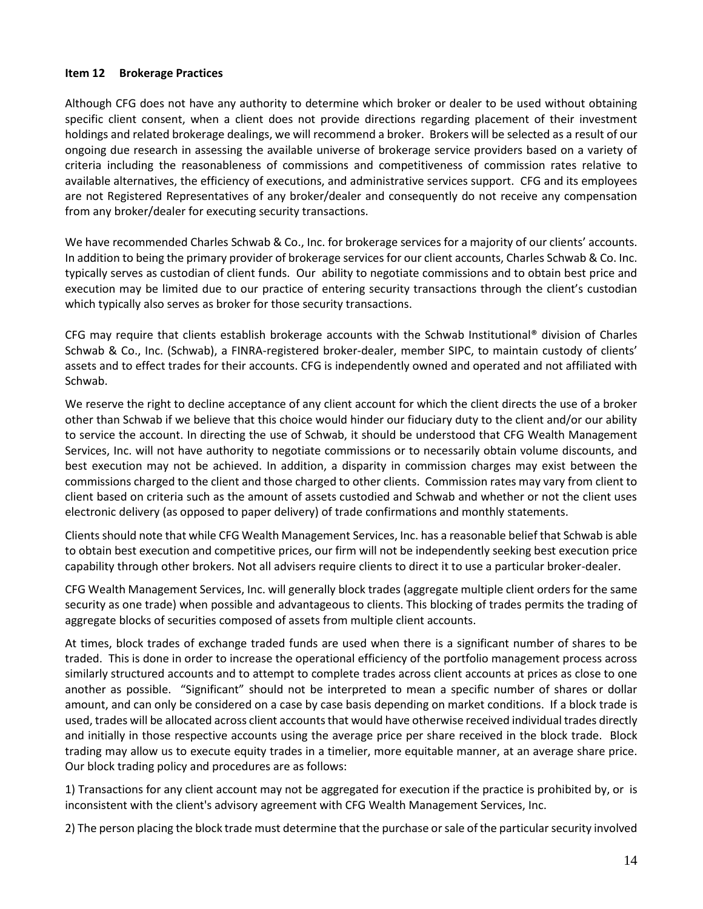# <span id="page-13-0"></span>**Item 12 Brokerage Practices**

Although CFG does not have any authority to determine which broker or dealer to be used without obtaining specific client consent, when a client does not provide directions regarding placement of their investment holdings and related brokerage dealings, we will recommend a broker. Brokers will be selected as a result of our ongoing due research in assessing the available universe of brokerage service providers based on a variety of criteria including the reasonableness of commissions and competitiveness of commission rates relative to available alternatives, the efficiency of executions, and administrative services support. CFG and its employees are not Registered Representatives of any broker/dealer and consequently do not receive any compensation from any broker/dealer for executing security transactions.

We have recommended Charles Schwab & Co., Inc. for brokerage services for a majority of our clients' accounts. In addition to being the primary provider of brokerage services for our client accounts, Charles Schwab & Co. Inc. typically serves as custodian of client funds. Our ability to negotiate commissions and to obtain best price and execution may be limited due to our practice of entering security transactions through the client's custodian which typically also serves as broker for those security transactions.

CFG may require that clients establish brokerage accounts with the Schwab Institutional® division of Charles Schwab & Co., Inc. (Schwab), a FINRA-registered broker-dealer, member SIPC, to maintain custody of clients' assets and to effect trades for their accounts. CFG is independently owned and operated and not affiliated with Schwab.

We reserve the right to decline acceptance of any client account for which the client directs the use of a broker other than Schwab if we believe that this choice would hinder our fiduciary duty to the client and/or our ability to service the account. In directing the use of Schwab, it should be understood that CFG Wealth Management Services, Inc. will not have authority to negotiate commissions or to necessarily obtain volume discounts, and best execution may not be achieved. In addition, a disparity in commission charges may exist between the commissions charged to the client and those charged to other clients. Commission rates may vary from client to client based on criteria such as the amount of assets custodied and Schwab and whether or not the client uses electronic delivery (as opposed to paper delivery) of trade confirmations and monthly statements.

Clients should note that while CFG Wealth Management Services, Inc. has a reasonable belief that Schwab is able to obtain best execution and competitive prices, our firm will not be independently seeking best execution price capability through other brokers. Not all advisers require clients to direct it to use a particular broker-dealer.

CFG Wealth Management Services, Inc. will generally block trades (aggregate multiple client orders for the same security as one trade) when possible and advantageous to clients. This blocking of trades permits the trading of aggregate blocks of securities composed of assets from multiple client accounts.

At times, block trades of exchange traded funds are used when there is a significant number of shares to be traded. This is done in order to increase the operational efficiency of the portfolio management process across similarly structured accounts and to attempt to complete trades across client accounts at prices as close to one another as possible. "Significant" should not be interpreted to mean a specific number of shares or dollar amount, and can only be considered on a case by case basis depending on market conditions. If a block trade is used, trades will be allocated across client accounts that would have otherwise received individual trades directly and initially in those respective accounts using the average price per share received in the block trade. Block trading may allow us to execute equity trades in a timelier, more equitable manner, at an average share price. Our block trading policy and procedures are as follows:

1) Transactions for any client account may not be aggregated for execution if the practice is prohibited by, or is inconsistent with the client's advisory agreement with CFG Wealth Management Services, Inc.

2) The person placing the block trade must determine that the purchase or sale of the particular security involved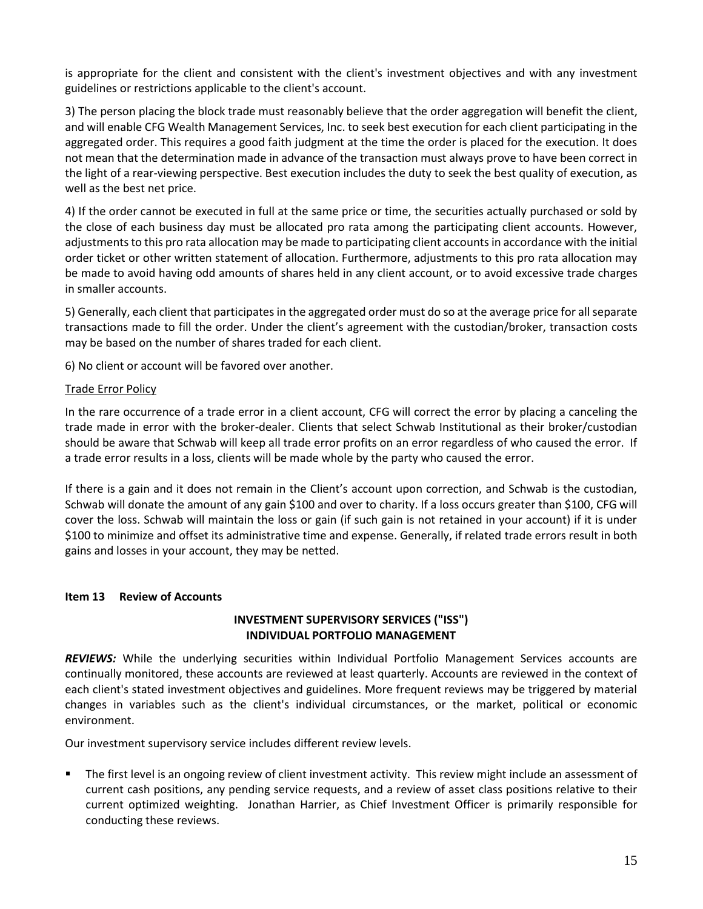is appropriate for the client and consistent with the client's investment objectives and with any investment guidelines or restrictions applicable to the client's account.

3) The person placing the block trade must reasonably believe that the order aggregation will benefit the client, and will enable CFG Wealth Management Services, Inc. to seek best execution for each client participating in the aggregated order. This requires a good faith judgment at the time the order is placed for the execution. It does not mean that the determination made in advance of the transaction must always prove to have been correct in the light of a rear-viewing perspective. Best execution includes the duty to seek the best quality of execution, as well as the best net price.

4) If the order cannot be executed in full at the same price or time, the securities actually purchased or sold by the close of each business day must be allocated pro rata among the participating client accounts. However, adjustments to this pro rata allocation may be made to participating client accounts in accordance with the initial order ticket or other written statement of allocation. Furthermore, adjustments to this pro rata allocation may be made to avoid having odd amounts of shares held in any client account, or to avoid excessive trade charges in smaller accounts.

5) Generally, each client that participates in the aggregated order must do so at the average price for all separate transactions made to fill the order. Under the client's agreement with the custodian/broker, transaction costs may be based on the number of shares traded for each client.

6) No client or account will be favored over another.

# Trade Error Policy

In the rare occurrence of a trade error in a client account, CFG will correct the error by placing a canceling the trade made in error with the broker-dealer. Clients that select Schwab Institutional as their broker/custodian should be aware that Schwab will keep all trade error profits on an error regardless of who caused the error. If a trade error results in a loss, clients will be made whole by the party who caused the error.

If there is a gain and it does not remain in the Client's account upon correction, and Schwab is the custodian, Schwab will donate the amount of any gain \$100 and over to charity. If a loss occurs greater than \$100, CFG will cover the loss. Schwab will maintain the loss or gain (if such gain is not retained in your account) if it is under \$100 to minimize and offset its administrative time and expense. Generally, if related trade errors result in both gains and losses in your account, they may be netted.

# <span id="page-14-0"></span>**Item 13 Review of Accounts**

# **INVESTMENT SUPERVISORY SERVICES ("ISS") INDIVIDUAL PORTFOLIO MANAGEMENT**

*REVIEWS:* While the underlying securities within Individual Portfolio Management Services accounts are continually monitored, these accounts are reviewed at least quarterly. Accounts are reviewed in the context of each client's stated investment objectives and guidelines. More frequent reviews may be triggered by material changes in variables such as the client's individual circumstances, or the market, political or economic environment.

Our investment supervisory service includes different review levels.

The first level is an ongoing review of client investment activity. This review might include an assessment of current cash positions, any pending service requests, and a review of asset class positions relative to their current optimized weighting. Jonathan Harrier, as Chief Investment Officer is primarily responsible for conducting these reviews.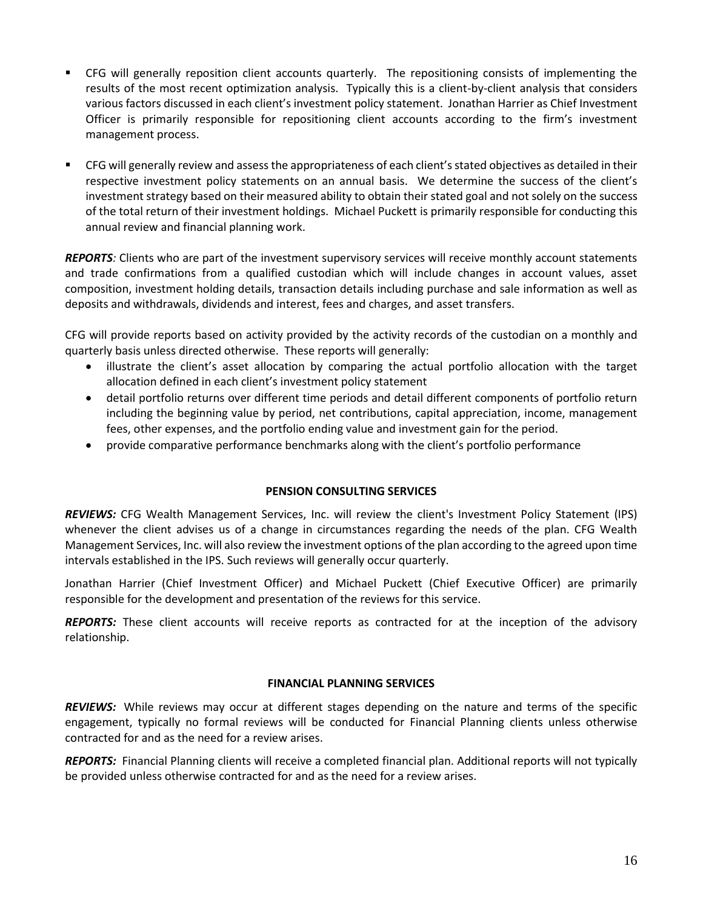- CFG will generally reposition client accounts quarterly. The repositioning consists of implementing the results of the most recent optimization analysis. Typically this is a client-by-client analysis that considers various factors discussed in each client's investment policy statement. Jonathan Harrier as Chief Investment Officer is primarily responsible for repositioning client accounts according to the firm's investment management process.
- CFG will generally review and assess the appropriateness of each client's stated objectives as detailed in their respective investment policy statements on an annual basis. We determine the success of the client's investment strategy based on their measured ability to obtain their stated goal and not solely on the success of the total return of their investment holdings. Michael Puckett is primarily responsible for conducting this annual review and financial planning work.

*REPORTS:* Clients who are part of the investment supervisory services will receive monthly account statements and trade confirmations from a qualified custodian which will include changes in account values, asset composition, investment holding details, transaction details including purchase and sale information as well as deposits and withdrawals, dividends and interest, fees and charges, and asset transfers.

CFG will provide reports based on activity provided by the activity records of the custodian on a monthly and quarterly basis unless directed otherwise. These reports will generally:

- illustrate the client's asset allocation by comparing the actual portfolio allocation with the target allocation defined in each client's investment policy statement
- detail portfolio returns over different time periods and detail different components of portfolio return including the beginning value by period, net contributions, capital appreciation, income, management fees, other expenses, and the portfolio ending value and investment gain for the period.
- provide comparative performance benchmarks along with the client's portfolio performance

# **PENSION CONSULTING SERVICES**

*REVIEWS:* CFG Wealth Management Services, Inc. will review the client's Investment Policy Statement (IPS) whenever the client advises us of a change in circumstances regarding the needs of the plan. CFG Wealth Management Services, Inc. will also review the investment options of the plan according to the agreed upon time intervals established in the IPS. Such reviews will generally occur quarterly.

Jonathan Harrier (Chief Investment Officer) and Michael Puckett (Chief Executive Officer) are primarily responsible for the development and presentation of the reviews for this service.

*REPORTS:* These client accounts will receive reports as contracted for at the inception of the advisory relationship.

#### **FINANCIAL PLANNING SERVICES**

*REVIEWS:* While reviews may occur at different stages depending on the nature and terms of the specific engagement, typically no formal reviews will be conducted for Financial Planning clients unless otherwise contracted for and as the need for a review arises.

*REPORTS:* Financial Planning clients will receive a completed financial plan. Additional reports will not typically be provided unless otherwise contracted for and as the need for a review arises.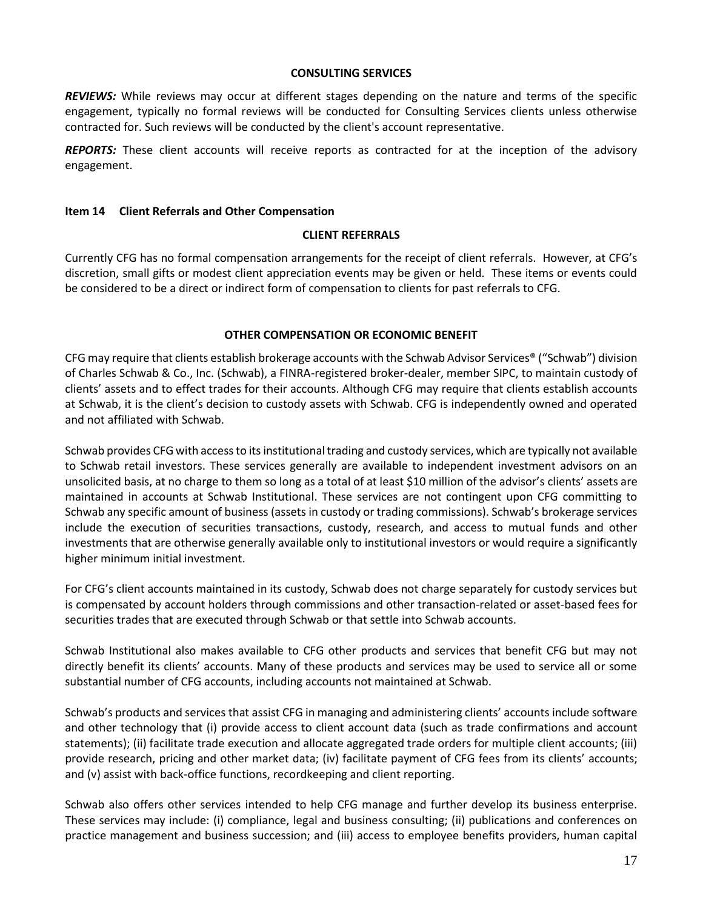#### **CONSULTING SERVICES**

*REVIEWS:* While reviews may occur at different stages depending on the nature and terms of the specific engagement, typically no formal reviews will be conducted for Consulting Services clients unless otherwise contracted for. Such reviews will be conducted by the client's account representative.

**REPORTS:** These client accounts will receive reports as contracted for at the inception of the advisory engagement.

#### <span id="page-16-0"></span>**Item 14 Client Referrals and Other Compensation**

#### **CLIENT REFERRALS**

Currently CFG has no formal compensation arrangements for the receipt of client referrals. However, at CFG's discretion, small gifts or modest client appreciation events may be given or held. These items or events could be considered to be a direct or indirect form of compensation to clients for past referrals to CFG.

#### **OTHER COMPENSATION OR ECONOMIC BENEFIT**

CFG may require that clients establish brokerage accounts with the Schwab Advisor Services® ("Schwab") division of Charles Schwab & Co., Inc. (Schwab), a FINRA-registered broker-dealer, member SIPC, to maintain custody of clients' assets and to effect trades for their accounts. Although CFG may require that clients establish accounts at Schwab, it is the client's decision to custody assets with Schwab. CFG is independently owned and operated and not affiliated with Schwab.

Schwab provides CFG with access to its institutional trading and custody services, which are typically not available to Schwab retail investors. These services generally are available to independent investment advisors on an unsolicited basis, at no charge to them so long as a total of at least \$10 million of the advisor's clients' assets are maintained in accounts at Schwab Institutional. These services are not contingent upon CFG committing to Schwab any specific amount of business (assets in custody or trading commissions). Schwab's brokerage services include the execution of securities transactions, custody, research, and access to mutual funds and other investments that are otherwise generally available only to institutional investors or would require a significantly higher minimum initial investment.

For CFG's client accounts maintained in its custody, Schwab does not charge separately for custody services but is compensated by account holders through commissions and other transaction-related or asset-based fees for securities trades that are executed through Schwab or that settle into Schwab accounts.

Schwab Institutional also makes available to CFG other products and services that benefit CFG but may not directly benefit its clients' accounts. Many of these products and services may be used to service all or some substantial number of CFG accounts, including accounts not maintained at Schwab.

Schwab's products and services that assist CFG in managing and administering clients' accounts include software and other technology that (i) provide access to client account data (such as trade confirmations and account statements); (ii) facilitate trade execution and allocate aggregated trade orders for multiple client accounts; (iii) provide research, pricing and other market data; (iv) facilitate payment of CFG fees from its clients' accounts; and (v) assist with back-office functions, recordkeeping and client reporting.

Schwab also offers other services intended to help CFG manage and further develop its business enterprise. These services may include: (i) compliance, legal and business consulting; (ii) publications and conferences on practice management and business succession; and (iii) access to employee benefits providers, human capital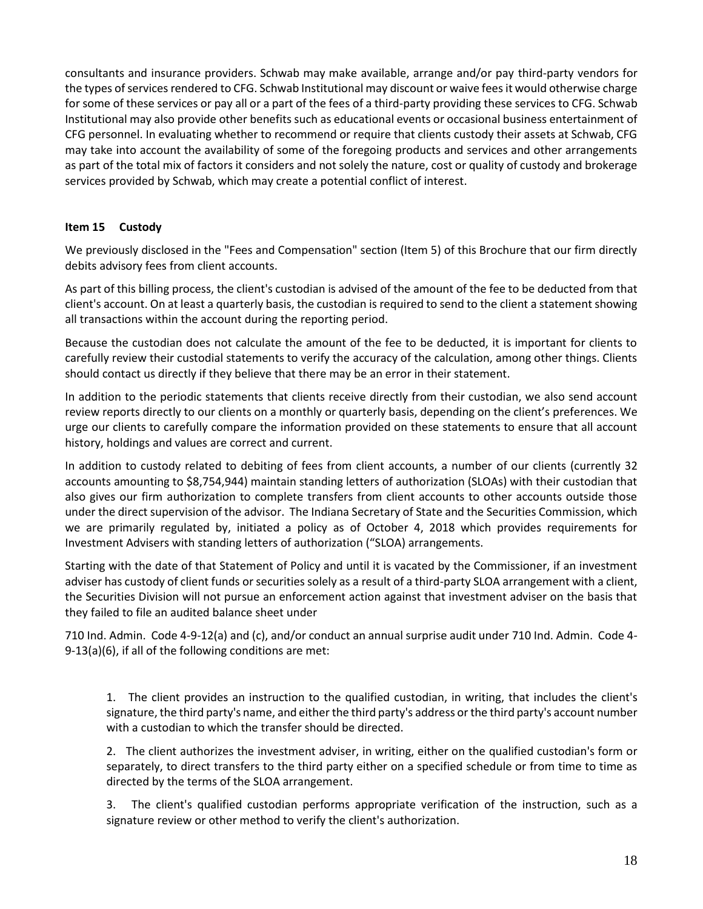consultants and insurance providers. Schwab may make available, arrange and/or pay third-party vendors for the types of services rendered to CFG. Schwab Institutional may discount or waive fees it would otherwise charge for some of these services or pay all or a part of the fees of a third-party providing these services to CFG. Schwab Institutional may also provide other benefits such as educational events or occasional business entertainment of CFG personnel. In evaluating whether to recommend or require that clients custody their assets at Schwab, CFG may take into account the availability of some of the foregoing products and services and other arrangements as part of the total mix of factors it considers and not solely the nature, cost or quality of custody and brokerage services provided by Schwab, which may create a potential conflict of interest.

# <span id="page-17-0"></span>**Item 15 Custody**

We previously disclosed in the "Fees and Compensation" section (Item 5) of this Brochure that our firm directly debits advisory fees from client accounts.

As part of this billing process, the client's custodian is advised of the amount of the fee to be deducted from that client's account. On at least a quarterly basis, the custodian is required to send to the client a statement showing all transactions within the account during the reporting period.

Because the custodian does not calculate the amount of the fee to be deducted, it is important for clients to carefully review their custodial statements to verify the accuracy of the calculation, among other things. Clients should contact us directly if they believe that there may be an error in their statement.

In addition to the periodic statements that clients receive directly from their custodian, we also send account review reports directly to our clients on a monthly or quarterly basis, depending on the client's preferences. We urge our clients to carefully compare the information provided on these statements to ensure that all account history, holdings and values are correct and current.

In addition to custody related to debiting of fees from client accounts, a number of our clients (currently 32 accounts amounting to \$8,754,944) maintain standing letters of authorization (SLOAs) with their custodian that also gives our firm authorization to complete transfers from client accounts to other accounts outside those under the direct supervision of the advisor. The Indiana Secretary of State and the Securities Commission, which we are primarily regulated by, initiated a policy as of October 4, 2018 which provides requirements for Investment Advisers with standing letters of authorization ("SLOA) arrangements.

Starting with the date of that Statement of Policy and until it is vacated by the Commissioner, if an investment adviser has custody of client funds or securities solely as a result of a third-party SLOA arrangement with a client, the Securities Division will not pursue an enforcement action against that investment adviser on the basis that they failed to file an audited balance sheet under

710 Ind. Admin. Code 4-9-12(a) and (c), and/or conduct an annual surprise audit under 710 Ind. Admin. Code 4- 9-13(a)(6), if all of the following conditions are met:

1. The client provides an instruction to the qualified custodian, in writing, that includes the client's signature, the third party's name, and either the third party's address or the third party's account number with a custodian to which the transfer should be directed.

2. The client authorizes the investment adviser, in writing, either on the qualified custodian's form or separately, to direct transfers to the third party either on a specified schedule or from time to time as directed by the terms of the SLOA arrangement.

3. The client's qualified custodian performs appropriate verification of the instruction, such as a signature review or other method to verify the client's authorization.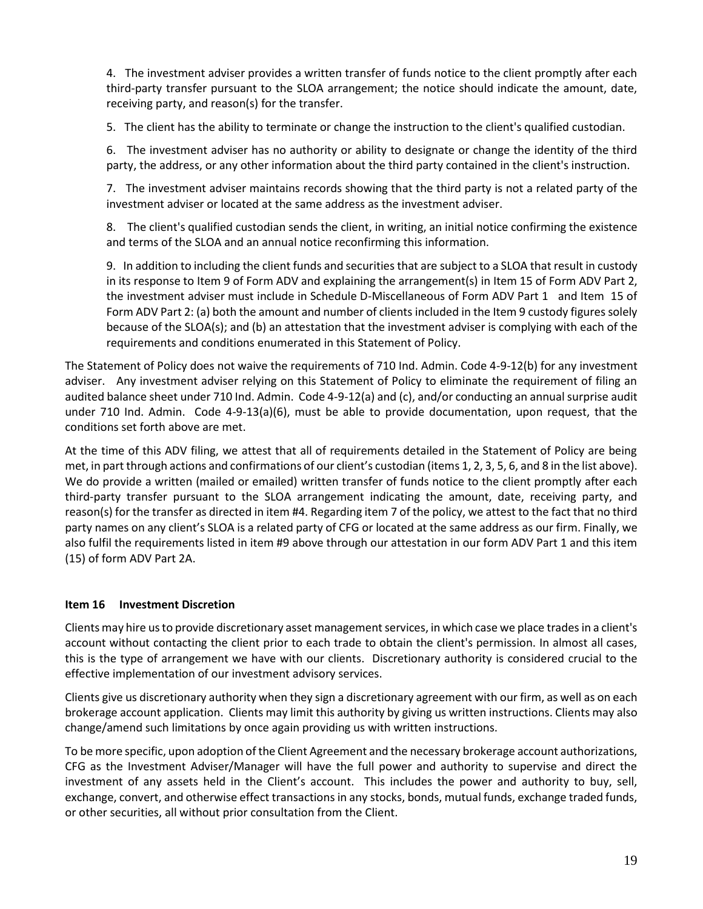4. The investment adviser provides a written transfer of funds notice to the client promptly after each third-party transfer pursuant to the SLOA arrangement; the notice should indicate the amount, date, receiving party, and reason(s) for the transfer.

5. The client has the ability to terminate or change the instruction to the client's qualified custodian.

6. The investment adviser has no authority or ability to designate or change the identity of the third party, the address, or any other information about the third party contained in the client's instruction.

7. The investment adviser maintains records showing that the third party is not a related party of the investment adviser or located at the same address as the investment adviser.

8. The client's qualified custodian sends the client, in writing, an initial notice confirming the existence and terms of the SLOA and an annual notice reconfirming this information.

9. In addition to including the client funds and securities that are subject to a SLOA that result in custody in its response to Item 9 of Form ADV and explaining the arrangement(s) in Item 15 of Form ADV Part 2, the investment adviser must include in Schedule D-Miscellaneous of Form ADV Part 1 and Item 15 of Form ADV Part 2: (a) both the amount and number of clients included in the Item 9 custody figures solely because of the SLOA(s); and (b) an attestation that the investment adviser is complying with each of the requirements and conditions enumerated in this Statement of Policy.

The Statement of Policy does not waive the requirements of 710 Ind. Admin. Code 4-9-12(b) for any investment adviser. Any investment adviser relying on this Statement of Policy to eliminate the requirement of filing an audited balance sheet under 710 Ind. Admin. Code 4-9-12(a) and (c), and/or conducting an annual surprise audit under 710 Ind. Admin. Code 4-9-13(a)(6), must be able to provide documentation, upon request, that the conditions set forth above are met.

At the time of this ADV filing, we attest that all of requirements detailed in the Statement of Policy are being met, in part through actions and confirmations of our client's custodian (items 1, 2, 3, 5, 6, and 8 in the list above). We do provide a written (mailed or emailed) written transfer of funds notice to the client promptly after each third-party transfer pursuant to the SLOA arrangement indicating the amount, date, receiving party, and reason(s) for the transfer as directed in item #4. Regarding item 7 of the policy, we attest to the fact that no third party names on any client's SLOA is a related party of CFG or located at the same address as our firm. Finally, we also fulfil the requirements listed in item #9 above through our attestation in our form ADV Part 1 and this item (15) of form ADV Part 2A.

# <span id="page-18-0"></span>**Item 16 Investment Discretion**

Clients may hire us to provide discretionary asset management services, in which case we place trades in a client's account without contacting the client prior to each trade to obtain the client's permission. In almost all cases, this is the type of arrangement we have with our clients. Discretionary authority is considered crucial to the effective implementation of our investment advisory services.

Clients give us discretionary authority when they sign a discretionary agreement with our firm, as well as on each brokerage account application. Clients may limit this authority by giving us written instructions. Clients may also change/amend such limitations by once again providing us with written instructions.

To be more specific, upon adoption of the Client Agreement and the necessary brokerage account authorizations, CFG as the Investment Adviser/Manager will have the full power and authority to supervise and direct the investment of any assets held in the Client's account. This includes the power and authority to buy, sell, exchange, convert, and otherwise effect transactions in any stocks, bonds, mutual funds, exchange traded funds, or other securities, all without prior consultation from the Client.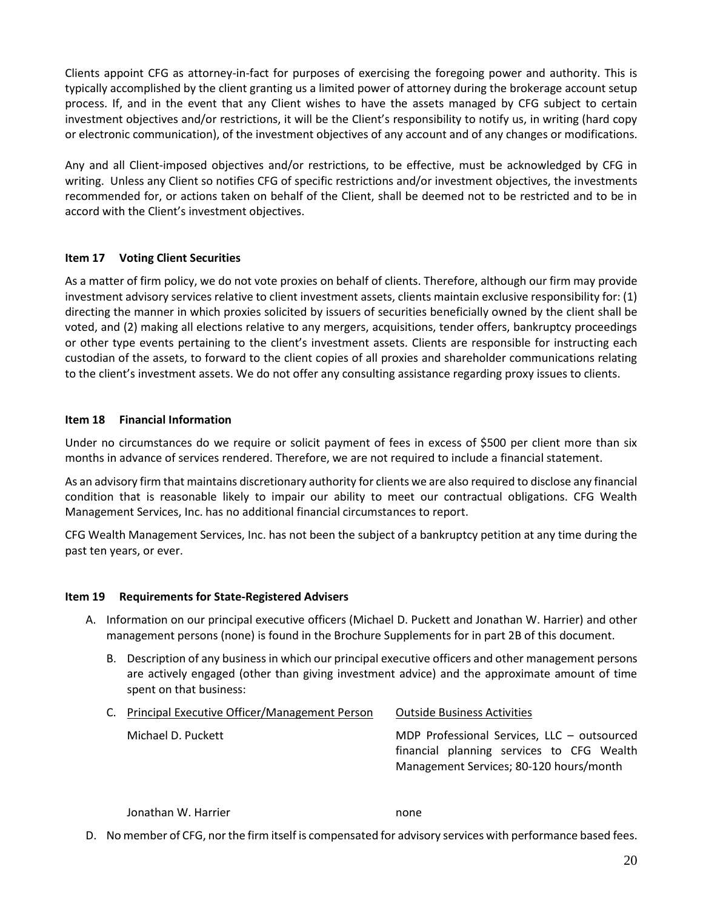Clients appoint CFG as attorney-in-fact for purposes of exercising the foregoing power and authority. This is typically accomplished by the client granting us a limited power of attorney during the brokerage account setup process. If, and in the event that any Client wishes to have the assets managed by CFG subject to certain investment objectives and/or restrictions, it will be the Client's responsibility to notify us, in writing (hard copy or electronic communication), of the investment objectives of any account and of any changes or modifications.

Any and all Client-imposed objectives and/or restrictions, to be effective, must be acknowledged by CFG in writing. Unless any Client so notifies CFG of specific restrictions and/or investment objectives, the investments recommended for, or actions taken on behalf of the Client, shall be deemed not to be restricted and to be in accord with the Client's investment objectives.

# <span id="page-19-0"></span>**Item 17 Voting Client Securities**

As a matter of firm policy, we do not vote proxies on behalf of clients. Therefore, although our firm may provide investment advisory services relative to client investment assets, clients maintain exclusive responsibility for: (1) directing the manner in which proxies solicited by issuers of securities beneficially owned by the client shall be voted, and (2) making all elections relative to any mergers, acquisitions, tender offers, bankruptcy proceedings or other type events pertaining to the client's investment assets. Clients are responsible for instructing each custodian of the assets, to forward to the client copies of all proxies and shareholder communications relating to the client's investment assets. We do not offer any consulting assistance regarding proxy issues to clients.

# <span id="page-19-1"></span>**Item 18 Financial Information**

Under no circumstances do we require or solicit payment of fees in excess of \$500 per client more than six months in advance of services rendered. Therefore, we are not required to include a financial statement.

As an advisory firm that maintains discretionary authority for clients we are also required to disclose any financial condition that is reasonable likely to impair our ability to meet our contractual obligations. CFG Wealth Management Services, Inc. has no additional financial circumstances to report.

CFG Wealth Management Services, Inc. has not been the subject of a bankruptcy petition at any time during the past ten years, or ever.

# **Item 19 Requirements for State-Registered Advisers**

- A. Information on our principal executive officers (Michael D. Puckett and Jonathan W. Harrier) and other management persons (none) is found in the Brochure Supplements for in part 2B of this document.
	- B. Description of any business in which our principal executive officers and other management persons are actively engaged (other than giving investment advice) and the approximate amount of time spent on that business:

| C. Principal Executive Officer/Management Person | <b>Outside Business Activities</b>                                                                                                  |
|--------------------------------------------------|-------------------------------------------------------------------------------------------------------------------------------------|
| Michael D. Puckett                               | MDP Professional Services, LLC - outsourced<br>financial planning services to CFG Wealth<br>Management Services; 80-120 hours/month |

Jonathan W. Harrier none

D. No member of CFG, nor the firm itself is compensated for advisory services with performance based fees.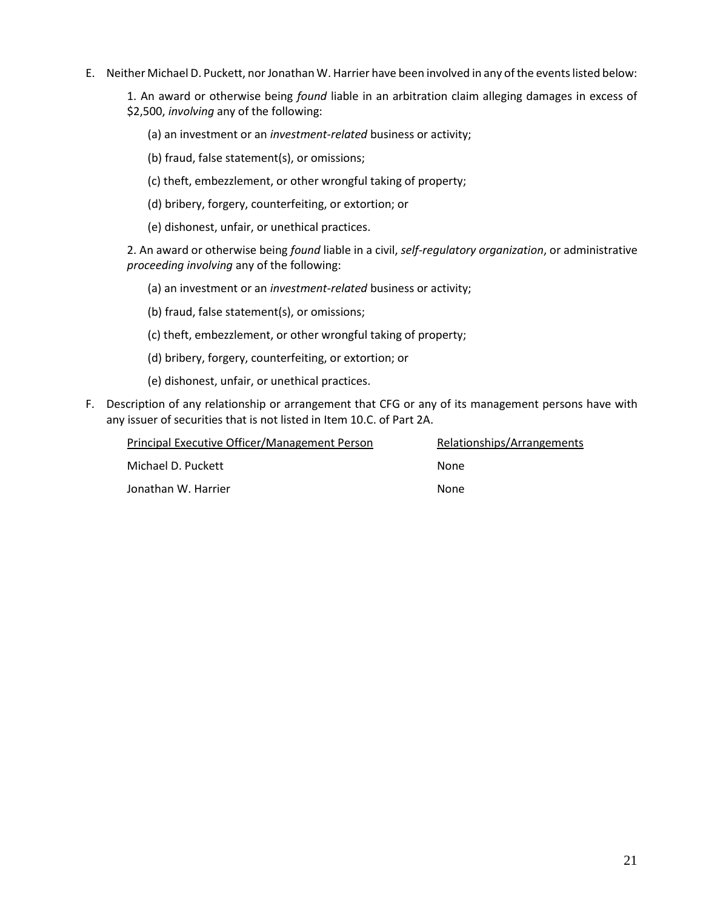E. Neither Michael D. Puckett, nor Jonathan W. Harrier have been involved in any of the events listed below:

1. An award or otherwise being *found* liable in an arbitration claim alleging damages in excess of \$2,500, *involving* any of the following:

(a) an investment or an *investment-related* business or activity;

(b) fraud, false statement(s), or omissions;

(c) theft, embezzlement, or other wrongful taking of property;

(d) bribery, forgery, counterfeiting, or extortion; or

(e) dishonest, unfair, or unethical practices.

2. An award or otherwise being *found* liable in a civil, *self-regulatory organization*, or administrative *proceeding involving* any of the following:

(a) an investment or an *investment-related* business or activity;

(b) fraud, false statement(s), or omissions;

(c) theft, embezzlement, or other wrongful taking of property;

(d) bribery, forgery, counterfeiting, or extortion; or

(e) dishonest, unfair, or unethical practices.

F. Description of any relationship or arrangement that CFG or any of its management persons have with any issuer of securities that is not listed in Item 10.C. of Part 2A.

| Principal Executive Officer/Management Person | Relationships/Arrangements |
|-----------------------------------------------|----------------------------|
| Michael D. Puckett                            | None                       |
| Jonathan W. Harrier                           | None                       |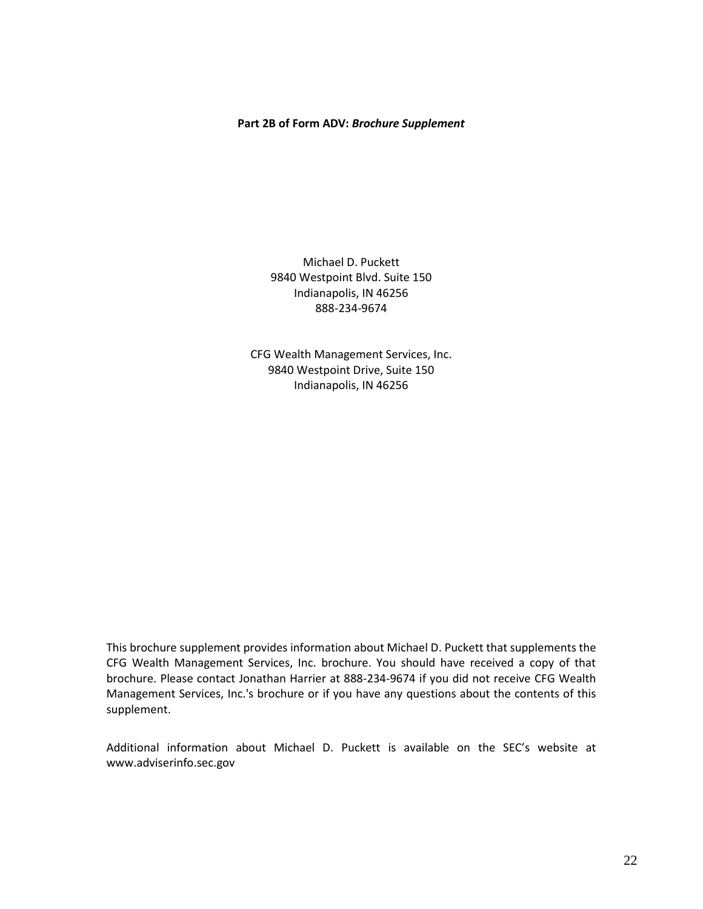#### **Part 2B of Form ADV:** *Brochure Supplement*

Michael D. Puckett 9840 Westpoint Blvd. Suite 150 Indianapolis, IN 46256 888-234-9674

CFG Wealth Management Services, Inc. 9840 Westpoint Drive, Suite 150 Indianapolis, IN 46256

This brochure supplement provides information about Michael D. Puckett that supplements the CFG Wealth Management Services, Inc. brochure. You should have received a copy of that brochure. Please contact Jonathan Harrier at 888-234-9674 if you did not receive CFG Wealth Management Services, Inc.'s brochure or if you have any questions about the contents of this supplement.

Additional information about Michael D. Puckett is available on the SEC's website at www.adviserinfo.sec.gov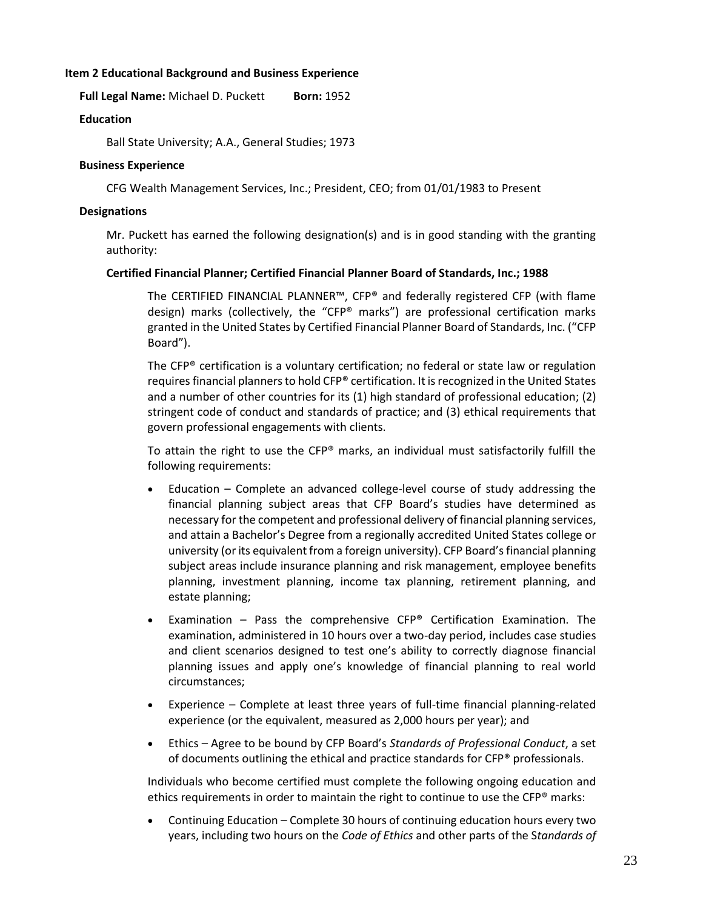# **Item 2 Educational Background and Business Experience**

**Full Legal Name:** Michael D. Puckett **Born:** 1952

#### **Education**

Ball State University; A.A., General Studies; 1973

#### **Business Experience**

CFG Wealth Management Services, Inc.; President, CEO; from 01/01/1983 to Present

#### **Designations**

Mr. Puckett has earned the following designation(s) and is in good standing with the granting authority:

#### **Certified Financial Planner; Certified Financial Planner Board of Standards, Inc.; 1988**

The CERTIFIED FINANCIAL PLANNER™, CFP® and federally registered CFP (with flame design) marks (collectively, the "CFP® marks") are professional certification marks granted in the United States by Certified Financial Planner Board of Standards, Inc. ("CFP Board").

The  $\text{CFP}^{\otimes}$  certification is a voluntary certification; no federal or state law or regulation requires financial planners to hold CFP® certification. It is recognized in the United States and a number of other countries for its (1) high standard of professional education; (2) stringent code of conduct and standards of practice; and (3) ethical requirements that govern professional engagements with clients.

To attain the right to use the CFP® marks, an individual must satisfactorily fulfill the following requirements:

- Education Complete an advanced college-level course of study addressing the financial planning subject areas that CFP Board's studies have determined as necessary for the competent and professional delivery of financial planning services, and attain a Bachelor's Degree from a regionally accredited United States college or university (or its equivalent from a foreign university). CFP Board's financial planning subject areas include insurance planning and risk management, employee benefits planning, investment planning, income tax planning, retirement planning, and estate planning;
- Examination Pass the comprehensive  $CFP^*$  Certification Examination. The examination, administered in 10 hours over a two-day period, includes case studies and client scenarios designed to test one's ability to correctly diagnose financial planning issues and apply one's knowledge of financial planning to real world circumstances;
- Experience Complete at least three years of full-time financial planning-related experience (or the equivalent, measured as 2,000 hours per year); and
- Ethics Agree to be bound by CFP Board's *Standards of Professional Conduct*, a set of documents outlining the ethical and practice standards for CFP® professionals.

Individuals who become certified must complete the following ongoing education and ethics requirements in order to maintain the right to continue to use the CFP® marks:

• Continuing Education – Complete 30 hours of continuing education hours every two years, including two hours on the *Code of Ethics* and other parts of the S*tandards of*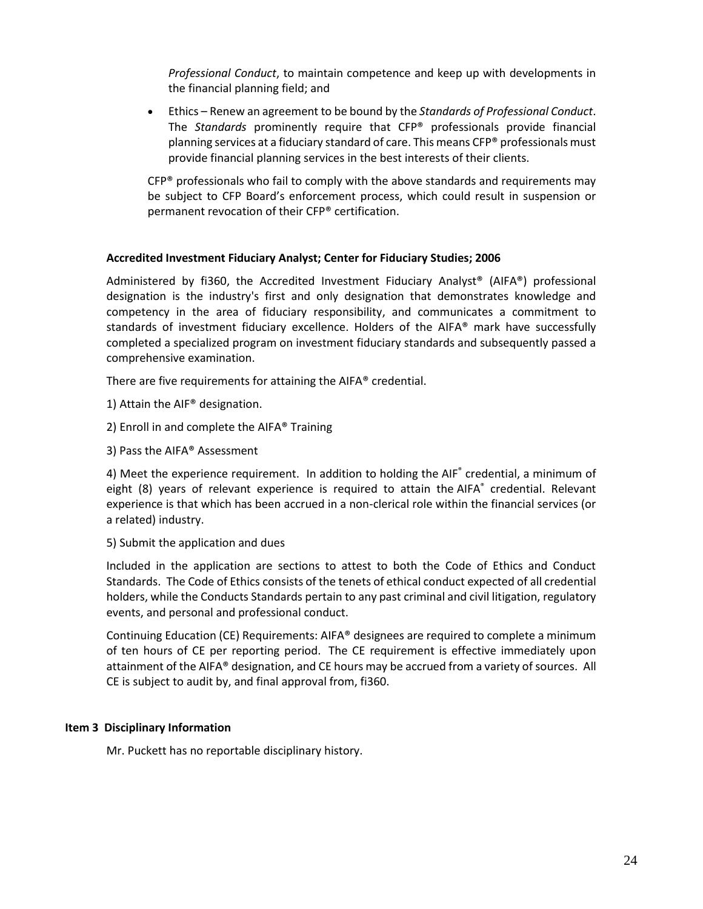*Professional Conduct*, to maintain competence and keep up with developments in the financial planning field; and

• Ethics – Renew an agreement to be bound by the *Standards of Professional Conduct*. The *Standards* prominently require that CFP® professionals provide financial planning services at a fiduciary standard of care. This means CFP® professionals must provide financial planning services in the best interests of their clients.

 $CFP<sup>®</sup>$  professionals who fail to comply with the above standards and requirements may be subject to CFP Board's enforcement process, which could result in suspension or permanent revocation of their CFP® certification.

# **Accredited Investment Fiduciary Analyst; Center for Fiduciary Studies; 2006**

Administered by fi360, the Accredited Investment Fiduciary Analyst® (AIFA®) professional designation is the industry's first and only designation that demonstrates knowledge and competency in the area of fiduciary responsibility, and communicates a commitment to standards of investment fiduciary excellence. Holders of the AIFA® mark have successfully completed a specialized program on investment fiduciary standards and subsequently passed a comprehensive examination.

There are five requirements for attaining the AIFA® credential.

- 1) Attain the AIF® designation.
- 2) Enroll in and complete the AIFA® Training
- 3) Pass the AIFA® Assessment

4) Meet the experience requirement. In addition to holding the AIF<sup>®</sup> credential, a minimum of eight (8) years of relevant experience is required to attain the AIFA® credential. Relevant experience is that which has been accrued in a non-clerical role within the financial services (or a related) industry.

5) Submit the application and dues

Included in the application are sections to attest to both the Code of Ethics and Conduct Standards. The Code of Ethics consists of the tenets of ethical conduct expected of all credential holders, while the Conducts Standards pertain to any past criminal and civil litigation, regulatory events, and personal and professional conduct.

Continuing Education (CE) Requirements: AIFA® designees are required to complete a minimum of ten hours of CE per reporting period. The CE requirement is effective immediately upon attainment of the AIFA® designation, and CE hours may be accrued from a variety of sources. All CE is subject to audit by, and final approval from, fi360.

# **Item 3 Disciplinary Information**

Mr. Puckett has no reportable disciplinary history.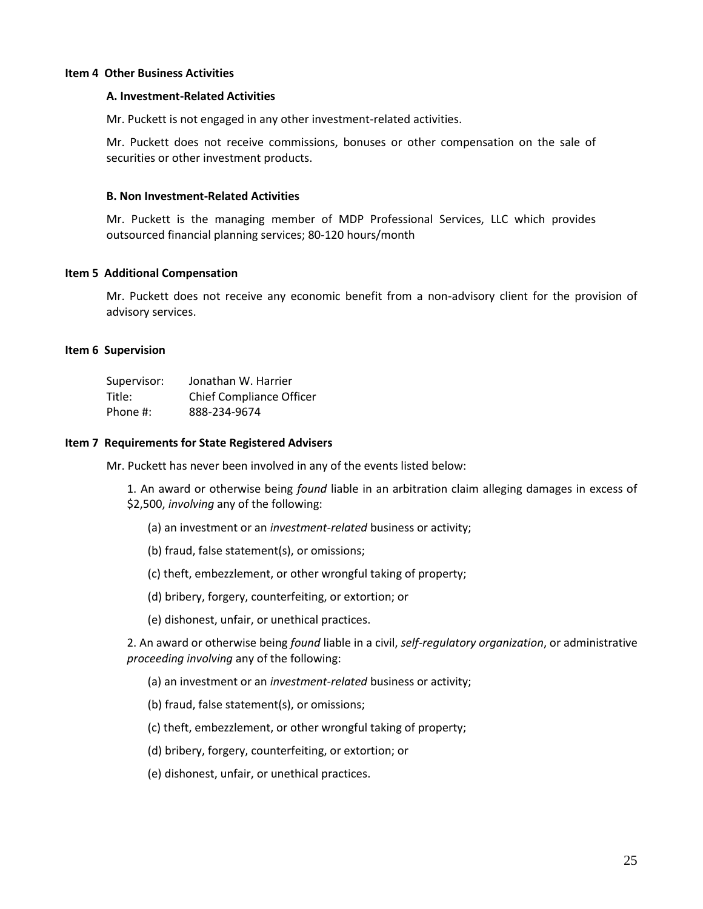#### **Item 4 Other Business Activities**

#### **A. Investment-Related Activities**

Mr. Puckett is not engaged in any other investment-related activities.

Mr. Puckett does not receive commissions, bonuses or other compensation on the sale of securities or other investment products.

#### **B. Non Investment-Related Activities**

Mr. Puckett is the managing member of MDP Professional Services, LLC which provides outsourced financial planning services; 80-120 hours/month

#### **Item 5 Additional Compensation**

Mr. Puckett does not receive any economic benefit from a non-advisory client for the provision of advisory services.

#### **Item 6 Supervision**

| Supervisor: | Jonathan W. Harrier             |
|-------------|---------------------------------|
| Title:      | <b>Chief Compliance Officer</b> |
| Phone #:    | 888-234-9674                    |

#### **Item 7 Requirements for State Registered Advisers**

Mr. Puckett has never been involved in any of the events listed below:

1. An award or otherwise being *found* liable in an arbitration claim alleging damages in excess of \$2,500, *involving* any of the following:

- (a) an investment or an *investment-related* business or activity;
- (b) fraud, false statement(s), or omissions;
- (c) theft, embezzlement, or other wrongful taking of property;
- (d) bribery, forgery, counterfeiting, or extortion; or
- (e) dishonest, unfair, or unethical practices.

2. An award or otherwise being *found* liable in a civil, *self-regulatory organization*, or administrative *proceeding involving* any of the following:

- (a) an investment or an *investment-related* business or activity;
- (b) fraud, false statement(s), or omissions;
- (c) theft, embezzlement, or other wrongful taking of property;
- (d) bribery, forgery, counterfeiting, or extortion; or
- (e) dishonest, unfair, or unethical practices.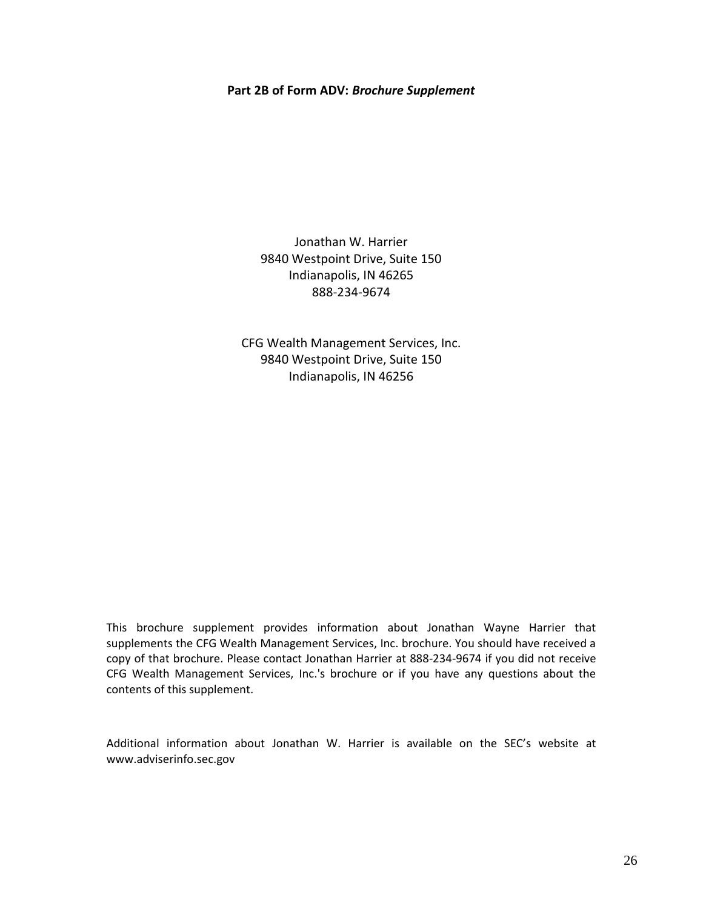#### **Part 2B of Form ADV:** *Brochure Supplement*

Jonathan W. Harrier 9840 Westpoint Drive, Suite 150 Indianapolis, IN 46265 888-234-9674

CFG Wealth Management Services, Inc. 9840 Westpoint Drive, Suite 150 Indianapolis, IN 46256

This brochure supplement provides information about Jonathan Wayne Harrier that supplements the CFG Wealth Management Services, Inc. brochure. You should have received a copy of that brochure. Please contact Jonathan Harrier at 888-234-9674 if you did not receive CFG Wealth Management Services, Inc.'s brochure or if you have any questions about the contents of this supplement.

Additional information about Jonathan W. Harrier is available on the SEC's website at www.adviserinfo.sec.gov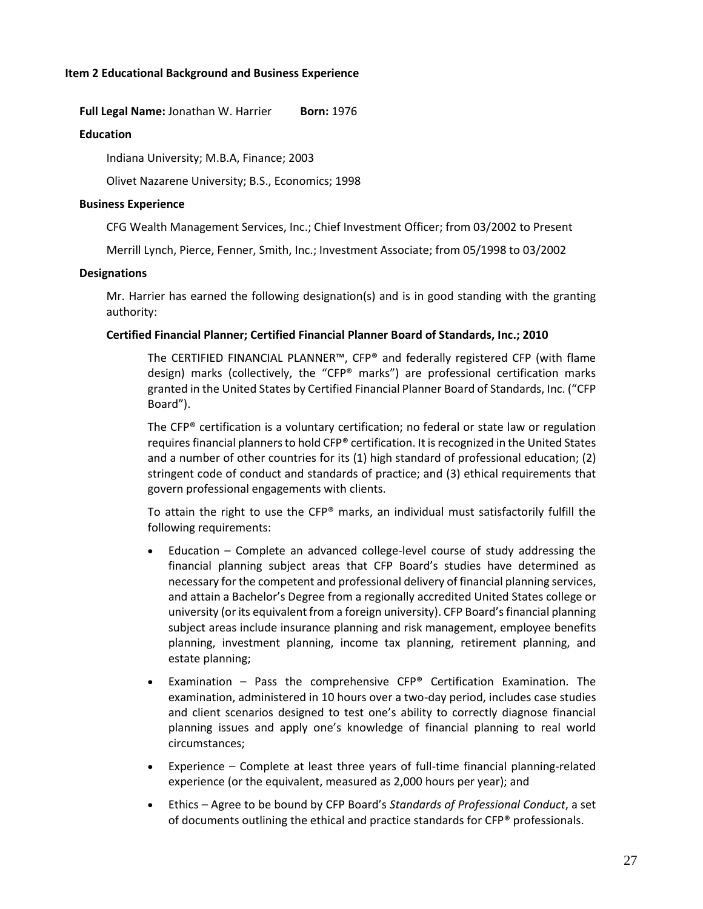# **Item 2 Educational Background and Business Experience**

**Full Legal Name:** Jonathan W. Harrier **Born:** 1976

#### **Education**

Indiana University; M.B.A, Finance; 2003

Olivet Nazarene University; B.S., Economics; 1998

#### **Business Experience**

CFG Wealth Management Services, Inc.; Chief Investment Officer; from 03/2002 to Present

Merrill Lynch, Pierce, Fenner, Smith, Inc.; Investment Associate; from 05/1998 to 03/2002

#### **Designations**

Mr. Harrier has earned the following designation(s) and is in good standing with the granting authority:

#### **Certified Financial Planner; Certified Financial Planner Board of Standards, Inc.; 2010**

The CERTIFIED FINANCIAL PLANNER™, CFP® and federally registered CFP (with flame design) marks (collectively, the "CFP® marks") are professional certification marks granted in the United States by Certified Financial Planner Board of Standards, Inc. ("CFP Board").

The CFP® certification is a voluntary certification; no federal or state law or regulation requires financial planners to hold CFP® certification. It is recognized in the United States and a number of other countries for its (1) high standard of professional education; (2) stringent code of conduct and standards of practice; and (3) ethical requirements that govern professional engagements with clients.

To attain the right to use the  $CFP^*$  marks, an individual must satisfactorily fulfill the following requirements:

- Education Complete an advanced college-level course of study addressing the financial planning subject areas that CFP Board's studies have determined as necessary for the competent and professional delivery of financial planning services, and attain a Bachelor's Degree from a regionally accredited United States college or university (or its equivalent from a foreign university). CFP Board's financial planning subject areas include insurance planning and risk management, employee benefits planning, investment planning, income tax planning, retirement planning, and estate planning;
- Examination Pass the comprehensive CFP® Certification Examination. The examination, administered in 10 hours over a two-day period, includes case studies and client scenarios designed to test one's ability to correctly diagnose financial planning issues and apply one's knowledge of financial planning to real world circumstances;
- Experience Complete at least three years of full-time financial planning-related experience (or the equivalent, measured as 2,000 hours per year); and
- Ethics Agree to be bound by CFP Board's *Standards of Professional Conduct*, a set of documents outlining the ethical and practice standards for CFP® professionals.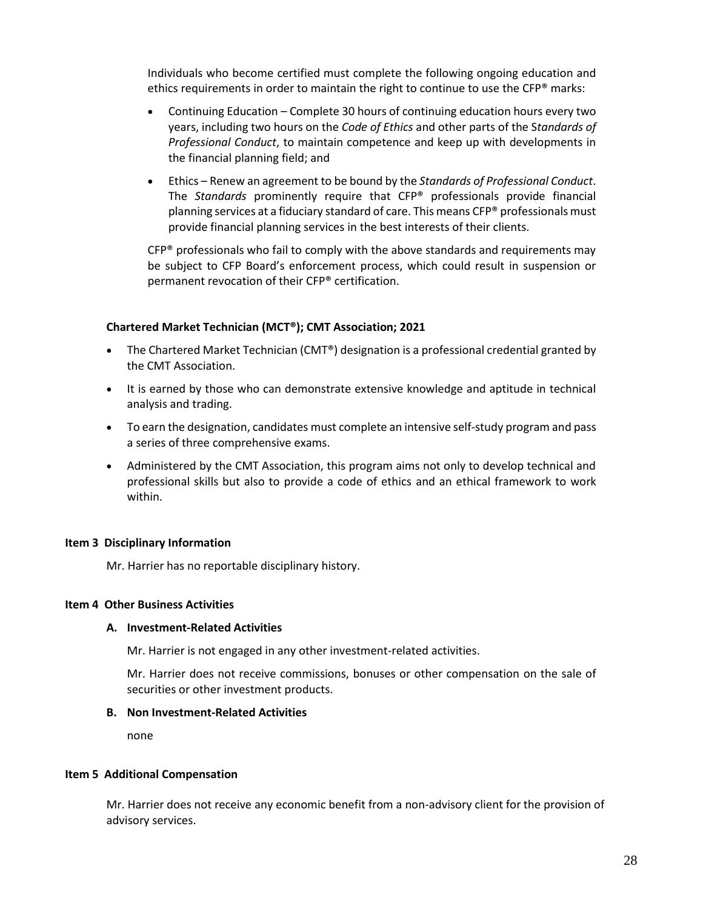Individuals who become certified must complete the following ongoing education and ethics requirements in order to maintain the right to continue to use the CFP® marks:

- Continuing Education Complete 30 hours of continuing education hours every two years, including two hours on the *Code of Ethics* and other parts of the S*tandards of Professional Conduct*, to maintain competence and keep up with developments in the financial planning field; and
- Ethics Renew an agreement to be bound by the *Standards of Professional Conduct*. The *Standards* prominently require that CFP® professionals provide financial planning services at a fiduciary standard of care. This means CFP® professionals must provide financial planning services in the best interests of their clients.

 $CFP<sup>®</sup>$  professionals who fail to comply with the above standards and requirements may be subject to CFP Board's enforcement process, which could result in suspension or permanent revocation of their CFP® certification.

# **Chartered Market Technician (MCT®); CMT Association; 2021**

- The Chartered Market Technician (CMT®) designation is a professional credential granted by the CMT Association.
- It is earned by those who can demonstrate extensive knowledge and aptitude in technical analysis and trading.
- To earn the designation, candidates must complete an intensive self-study program and pass a series of three comprehensive exams.
- Administered by the CMT Association, this program aims not only to develop technical and professional skills but also to provide a code of ethics and an ethical framework to work within.

# **Item 3 Disciplinary Information**

Mr. Harrier has no reportable disciplinary history.

# **Item 4 Other Business Activities**

# **A. Investment-Related Activities**

Mr. Harrier is not engaged in any other investment-related activities.

Mr. Harrier does not receive commissions, bonuses or other compensation on the sale of securities or other investment products.

# **B. Non Investment-Related Activities**

none

# **Item 5 Additional Compensation**

Mr. Harrier does not receive any economic benefit from a non-advisory client for the provision of advisory services.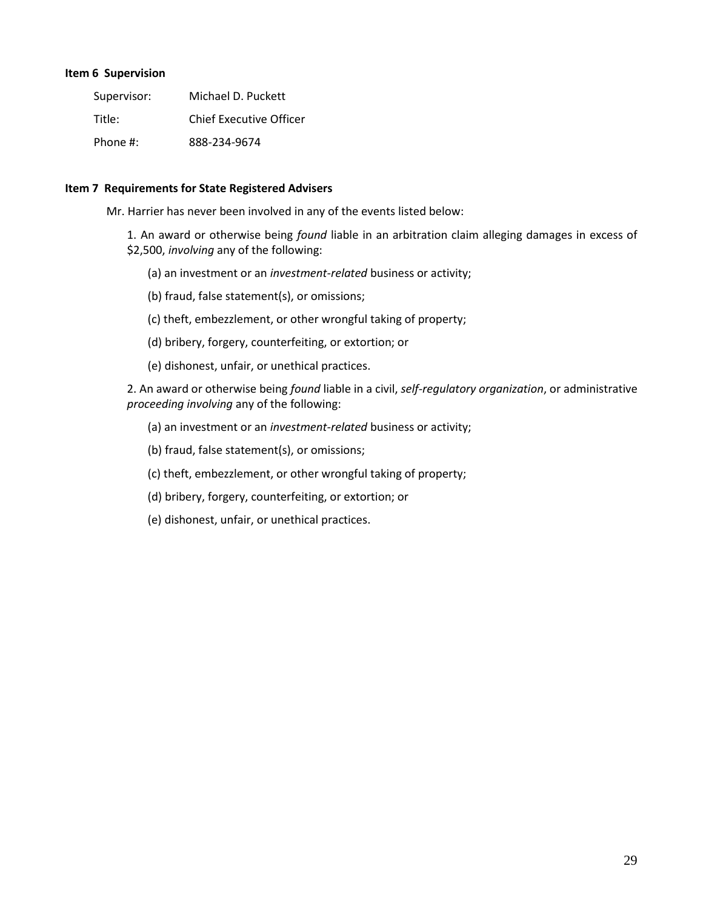# **Item 6 Supervision**

| Supervisor:  | Michael D. Puckett             |
|--------------|--------------------------------|
| Title:       | <b>Chief Executive Officer</b> |
| Phone $\#$ : | 888-234-9674                   |

#### **Item 7 Requirements for State Registered Advisers**

Mr. Harrier has never been involved in any of the events listed below:

1. An award or otherwise being *found* liable in an arbitration claim alleging damages in excess of \$2,500, *involving* any of the following:

- (a) an investment or an *investment-related* business or activity;
- (b) fraud, false statement(s), or omissions;
- (c) theft, embezzlement, or other wrongful taking of property;
- (d) bribery, forgery, counterfeiting, or extortion; or
- (e) dishonest, unfair, or unethical practices.

2. An award or otherwise being *found* liable in a civil, *self-regulatory organization*, or administrative *proceeding involving* any of the following:

- (a) an investment or an *investment-related* business or activity;
- (b) fraud, false statement(s), or omissions;
- (c) theft, embezzlement, or other wrongful taking of property;
- (d) bribery, forgery, counterfeiting, or extortion; or
- (e) dishonest, unfair, or unethical practices.